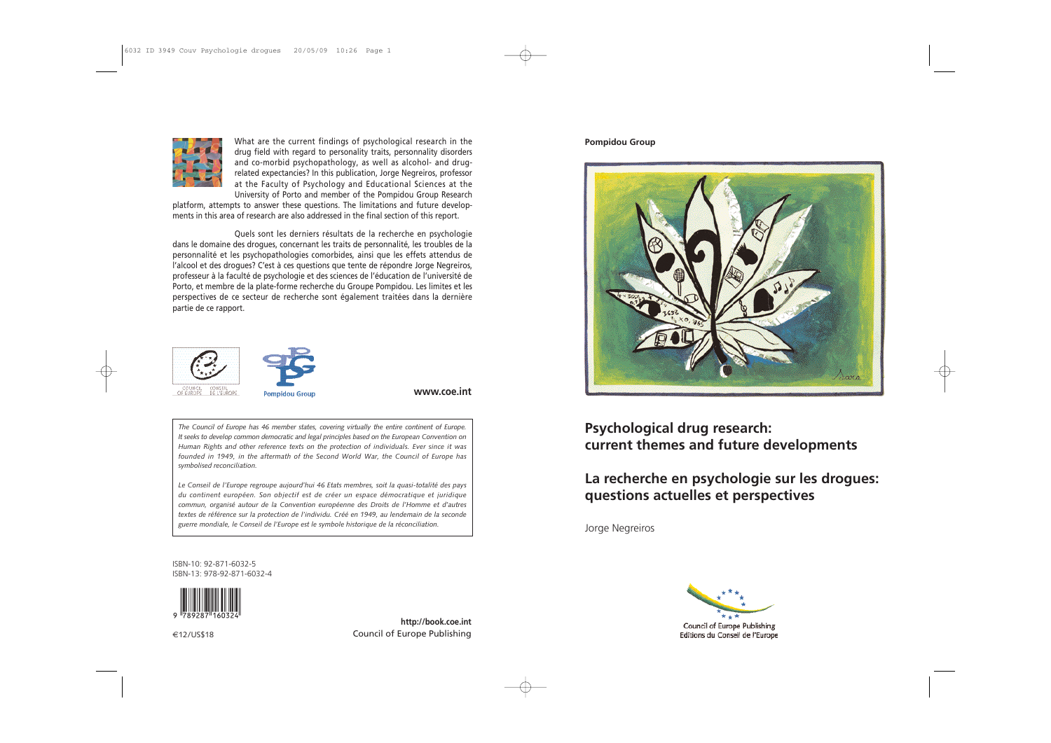#### **Pompidou Group**



### **Psychological drug research: current themes and future developments**

### **La recherche en psychologie sur les drogues: questions actuelles et perspectives**

Jorge Negreiros



Council of Europe Publishing Editions du Conseil de l'Europe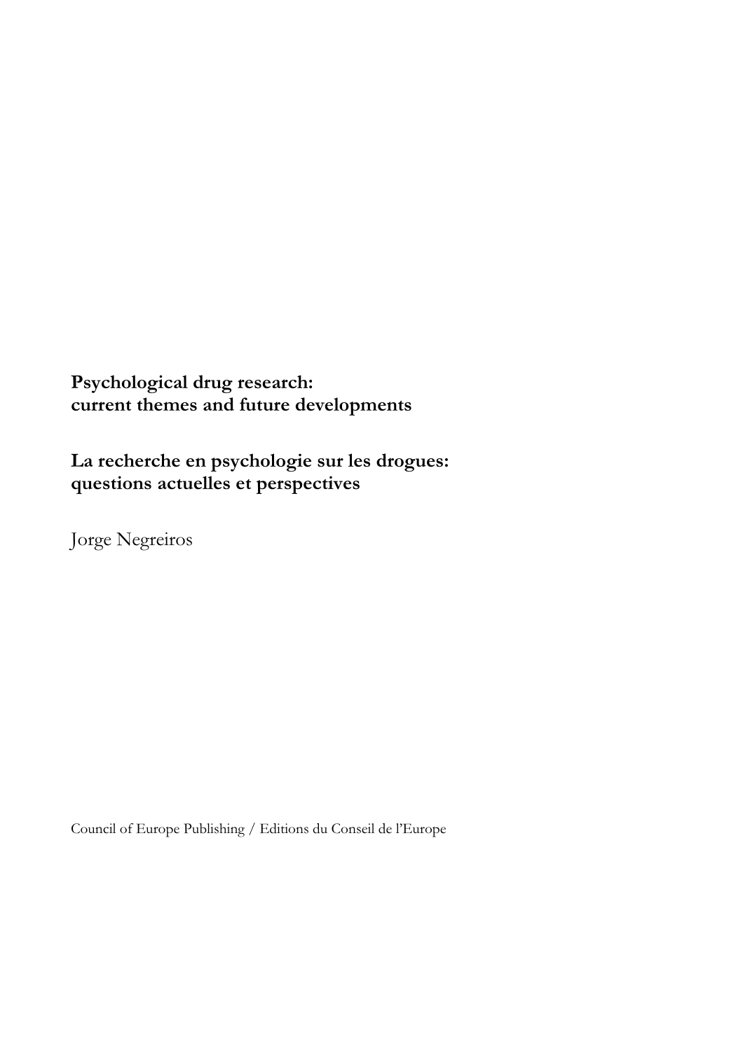## **Psychological drug research: current themes and future developments**

## **La recherche en psychologie sur les drogues: questions actuelles et perspectives**

Jorge Negreiros

Council of Europe Publishing / Editions du Conseil de l'Europe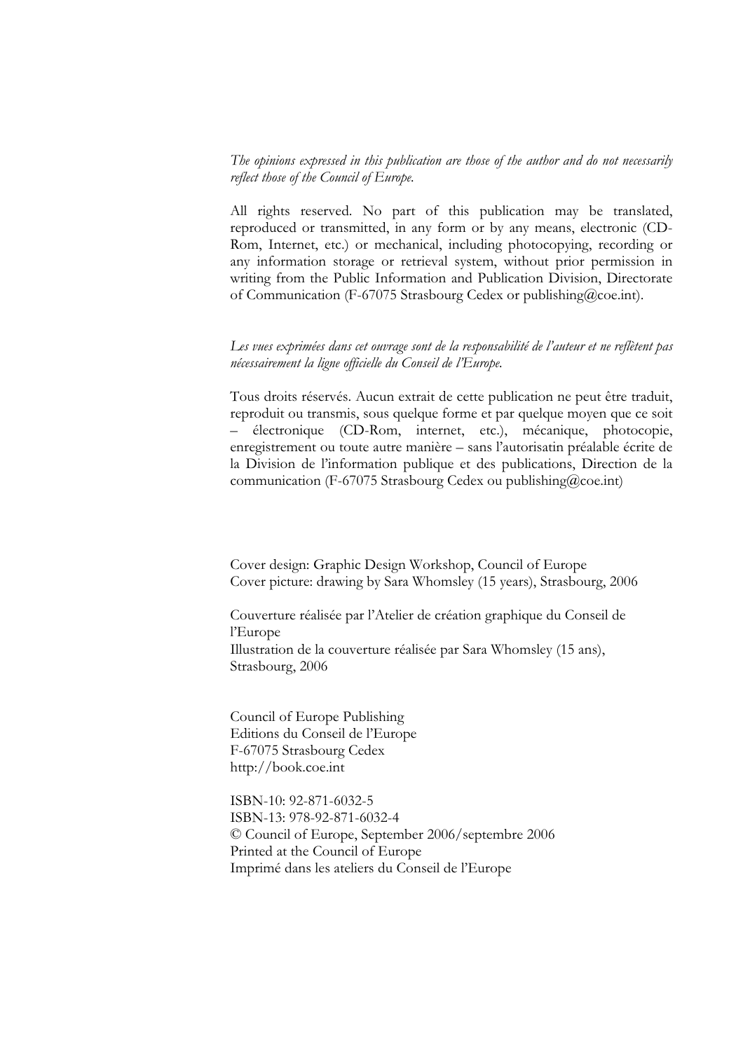*The opinions expressed in this publication are those of the author and do not necessarily reflect those of the Council of Europe.*

All rights reserved. No part of this publication may be translated, reproduced or transmitted, in any form or by any means, electronic (CD- Rom, Internet, etc.) or mechanical, including photocopying, recording or any information storage or retrieval system, without prior permission in writing from the Public Information and Publication Division, Directorate of Communication (F-67075 Strasbourg Cedex or publishing@coe.int).

*Les vues exprimées dans cet ouvrage sont de la responsabilité de l'auteur et ne reflètent pas nécessairement la ligne officielle du Conseil de l'Europe.*

Tous droits réservés. Aucun extrait de cette publication ne peut être traduit, reproduit ou transmis, sous quelque forme et par quelque moyen que ce soit – électronique (CD-Rom, internet, etc.), mécanique, photocopie, enregistrement ou toute autre manière – sans l'autorisatin préalable écrite de la Division de l'information publique et des publications, Direction de la communication (F-67075 Strasbourg Cedex ou publishing@coe.int)

Cover design: Graphic Design Workshop, Council of Europe Cover picture: drawing by Sara Whomsley (15 years), Strasbourg, 2006

Couverture réalisée par l'Atelier de création graphique du Conseil de l'Europe Illustration de la couverture réalisée par Sara Whomsley (15 ans), Strasbourg, 2006

Council of Europe Publishing Editions du Conseil de l'Europe F-67075 Strasbourg Cedex http://book.coe.int

ISBN-10: 92-871-6032-5 ISBN-13: 978-92-871-6032-4 © Council of Europe, September 2006/septembre 2006 Printed at the Council of Europe Imprimé dans les ateliers du Conseil de l'Europe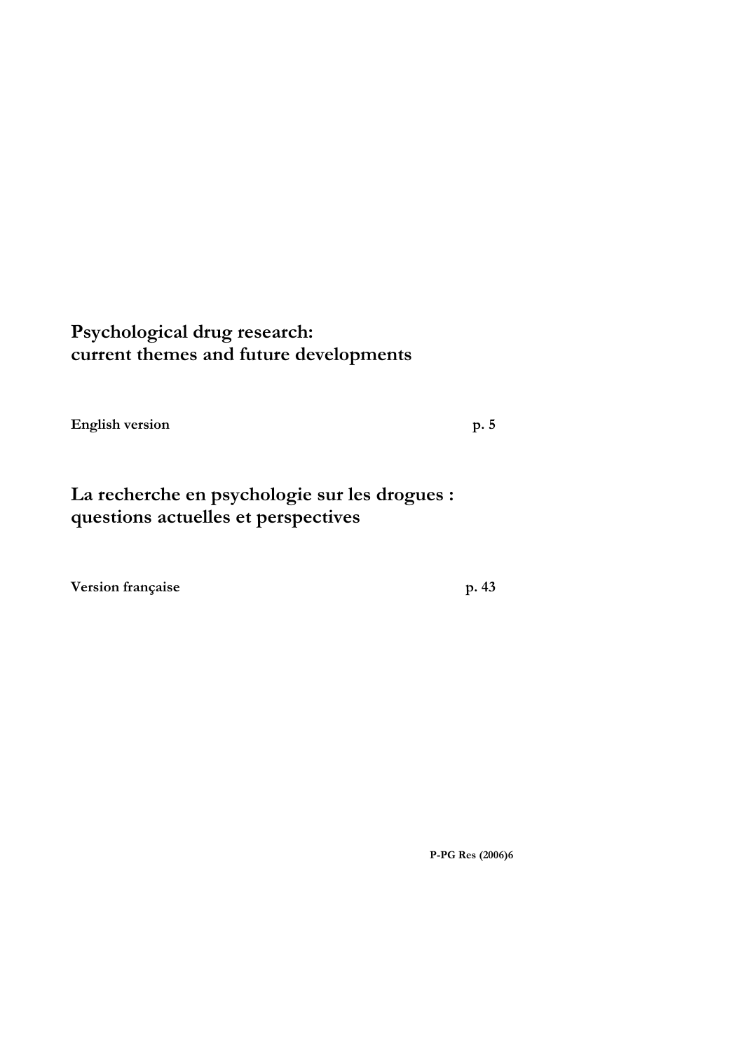### **Psychological drug research: current themes and future developments**

English version p. 5

## **La recherche en psychologie sur les drogues : questions actuelles et perspectives**

Version française p. 43

**P-PG Res (2006)6**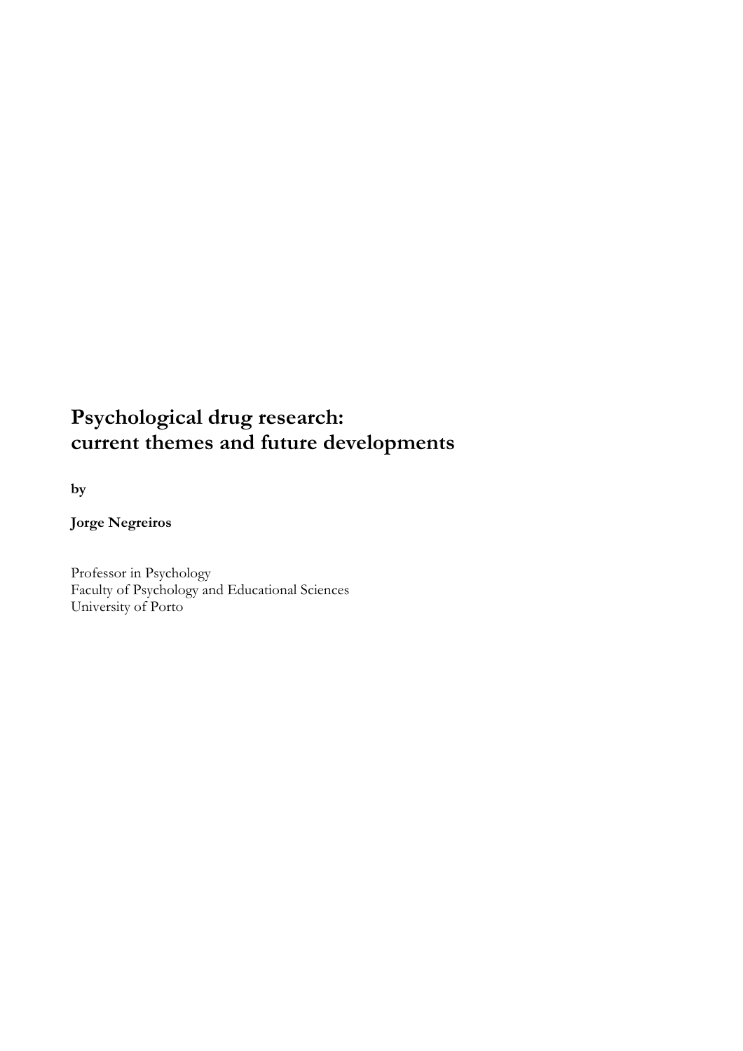### **Psychological drug research: current themes and future developments**

# by<br>Jorge Negreiros

Professor in Psychology Faculty of Psychology and Educational Sciences University of Porto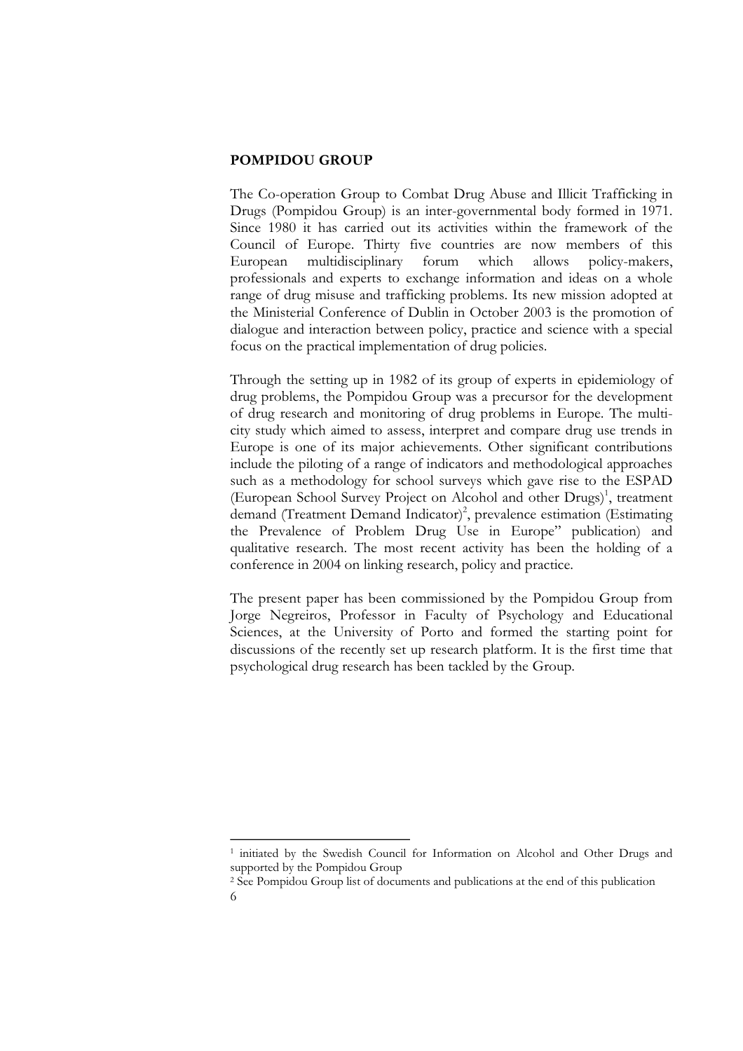#### **POMPIDOU GROUP**

The Co-operation Group to Combat Drug Abuse and Illicit Trafficking in Drugs (Pompidou Group) is an inter-governmental body formed in 1971. Since 1980 it has carried out its activities within the framework of the Council of Europe. Thirty five countries are now members of this European multidisciplinary forum which allows policy-makers, professionals and experts to exchange information and ideas on a whole range of drug misuse and trafficking problems. Its new mission adopted at the Ministerial Conference of Dublin in October 2003 is the promotion of dialogue and interaction between policy, practice and science with a special focus on the practical implementation of drug policies.

Through the setting up in 1982 of its group of experts in epidemiology of drug problems, the Pompidou Group was a precursor for the development of drug research and monitoring of drug problems in Europe. The multi city study which aimed to assess, interpret and compare drug use trends in Europe is one of its major achievements. Other significant contributions include the piloting of a range of indicators and methodological approaches such as a methodology for school surveys which gave rise to the ESPAD (European School Survey Project on Alcohol and other Drugs)<sup>1</sup>, treatment demand (Treatment Demand Indicator)<sup>2</sup>, prevalence estimation (Estimating the Prevalence of Problem Drug Use in Europe" publication) and qualitative research. The most recent activity has been the holding of a conference in 2004 on linking research, policy and practice.

The present paper has been commissioned by the Pompidou Group from Jorge Negreiros, Professor in Faculty of Psychology and Educational Sciences, at the University of Porto and formed the starting point for discussions of the recently set up research platform. It is the first time that psychological drug research has been tackled by the Group.

<sup>1</sup> initiated by the Swedish Council for Information on Alcohol and Other Drugs and supported by the Pompidou Group

<sup>2</sup> See Pompidou Group list of documents and publications at the end of this publication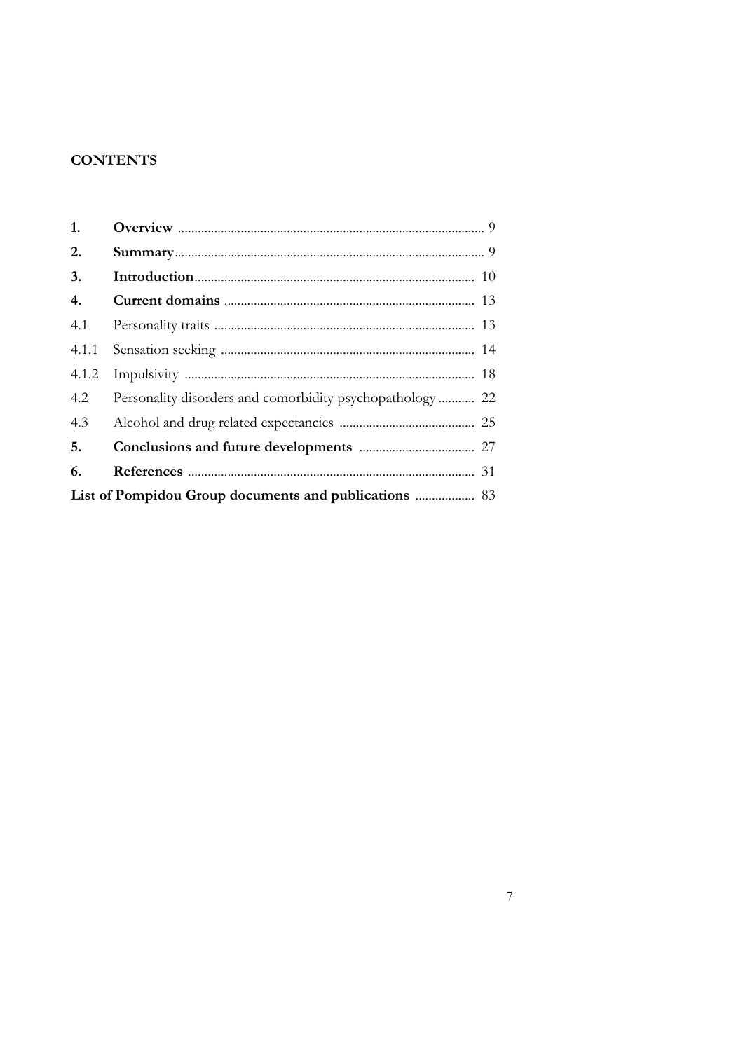#### **CONTENTS**

| 1.                                                           |                                                           |  |
|--------------------------------------------------------------|-----------------------------------------------------------|--|
| 2.                                                           |                                                           |  |
| 3.                                                           |                                                           |  |
| 4.                                                           |                                                           |  |
| 4.1                                                          |                                                           |  |
| 4.1.1                                                        |                                                           |  |
| 4.1.2                                                        |                                                           |  |
| 4.2                                                          | Personality disorders and comorbidity psychopathology  22 |  |
| 4.3                                                          |                                                           |  |
| 5.                                                           |                                                           |  |
| 6.                                                           |                                                           |  |
| <b>List of Pompidou Group documents and publications </b> 83 |                                                           |  |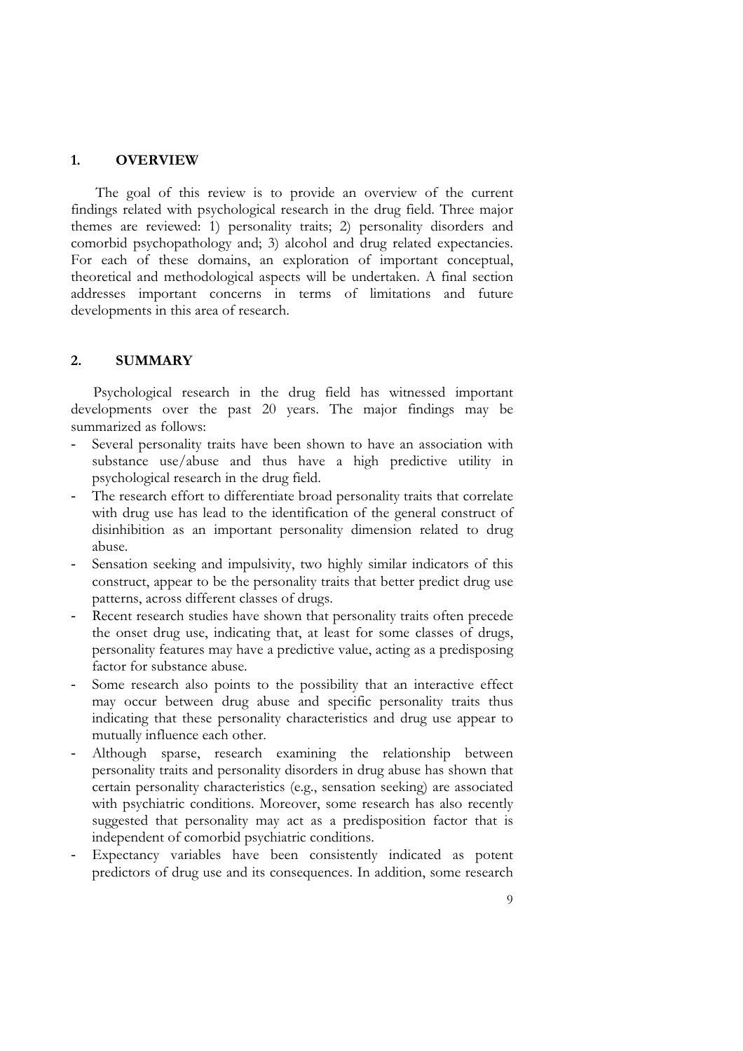#### **1. OVERVIEW**

The goal of this review is to provide an overview of the current findings related with psychological research in the drug field. Three major comorbid psychopathology and; 3) alcohol and drug related expectancies.<br>For each of these domains, an exploration of important conceptual, theoretical and methodological aspects will be undertaken. A final section addresse developments in this area of research.

#### **2. SUMMARY**

Psychological research in the drug field has witnessed important developments over the past 20 years. The major findings may be summarized as follows:

- Several personality traits have been shown to have an association with substance use/abuse and thus have a high predictive utility in psychological research in the drug field.
- The research effort to differentiate broad personality traits that correlate with drug use has lead to the identification of the general construct of disinhibition as an important personality dimension related to drug abuse.
- Sensation seeking and impulsivity, two highly similar indicators of this construct, appear to be the personality traits that better predict drug use patterns, across different classes of drugs.
- Recent research studies have shown that personality traits often precede the onset drug use, indicating that, at least for some classes of drugs, personality features may have a predictive value, acting as a predisposing factor for substance abuse.
- Some research also points to the possibility that an interactive effect may occur between drug abuse and specific personality traits thus indicating that these personality characteristics and drug use appear to mutually influence each other.
- Although sparse, research examining the relationship between personality traits and personality disorders in drug abuse has shown that certain personality characteristics (e.g., sensation seeking) are associated with psy suggested that personality may act as a predisposition factor that is independent of comorbid psychiatric conditions.<br>Expectancy variables have been consistently indicated as potent
- predictors of drug use and its consequences. In addition, some research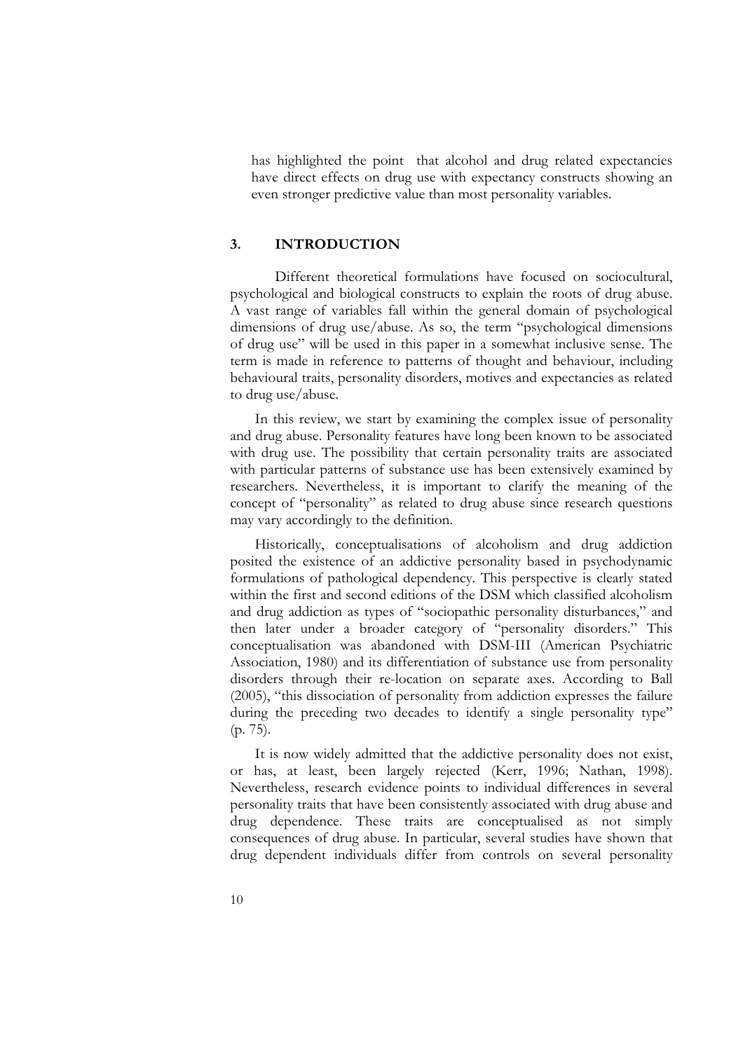has highlighted the point that alcohol and drug related expectancies have direct effects on drug use with expectancy constructs showing an even stronger predictive value than most personality variables.

#### **3. INTRODUCTION**

Different theoretical formulations have focused on sociocultural, psychological and biological constructs to explain the roots of drug abuse. A vast range of variables fall within the general domain of psychological dimens of drug use" will be used in this paper in a somewhat inclusive sense. The<br>term is made in reference to patterns of thought and behaviour, including<br>behavioural traits, personality disorders, motives and expectancies as re

with drug use. The possibility that certain personality traits are associated with particular patterns of substance use has been extensively examined by researchers. Nevertheless, it is important to clarify the meaning of the concept of "personality" as related to drug abuse since research questions may vary accordingly to the definition.

Historically, conceptualisations of alcoholism and drug addiction posited the existence of an addictive personality based in psychodynamic formulations of pathological dependency. This perspective is clearly stated within the first and second editions of the DSM which classified alcoholism and drug addiction as types of "sociopathic personality disturbances," and then later under a broader category of "personality disorders." This conceptualisation was abandoned with DSM-III (American Psychiatric disorders through their re-location on separate axes. According to Ball (2005), "this dissociation of personality from addiction expresses the failure during the preceding two decades to identify a single personality type"

(p. 75).<br>It is now widely admitted that the addictive personality does not exist,<br>or has, at least, been largely rejected (Kerr, 1996; Nathan, 1998). Nevertheless, research evidence points to individual differences in several personality traits that have been consistently associated with drug abuse and<br>drug dependence. These traits are conceptualised as not simply<br>consequences of drug abuse. In particular, several studies have shown that<br>drug d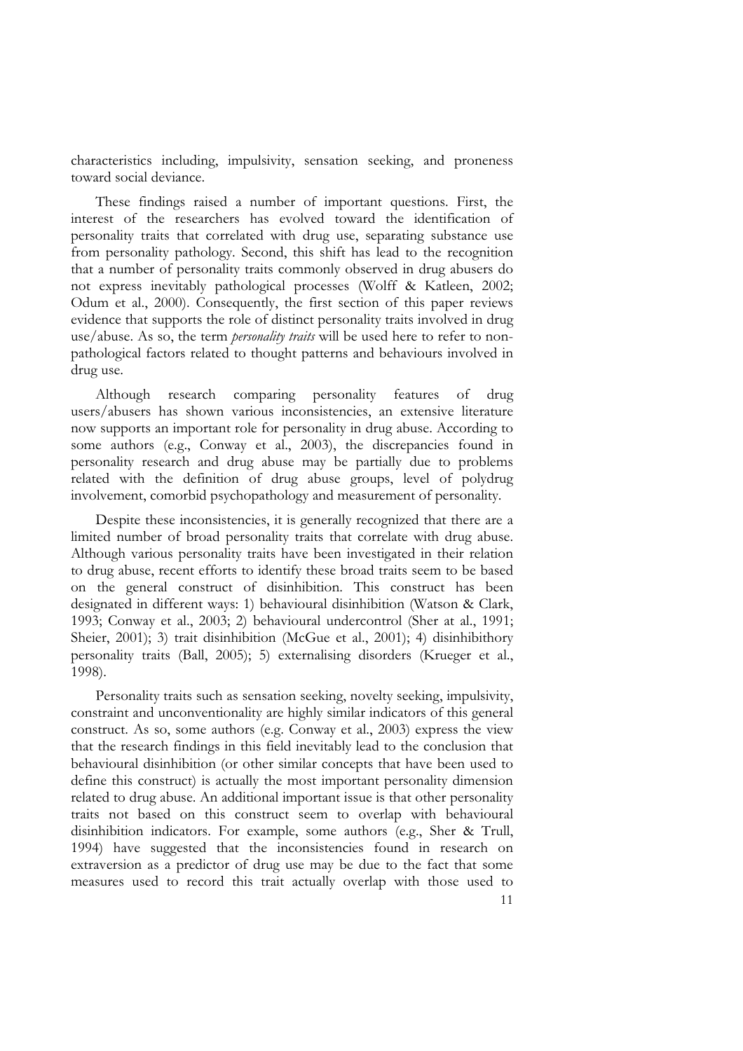characteristics including, impulsivity, sensation seeking, and proneness toward social deviance.

These findings raised a number of important questions. First, the interest of the researchers has evolved toward the identification of personality traits that correlated with drug use, separating substance use from personality pathology. Second, this shift has lead to the recognition from that a number of personality traits commonly observed in drug abusers do not express inevitably pathological processes (Wolff & Katleen, 2002; Odum et al., 2000). Consequently, the first section of this paper reviews evidence that supports the role of distinct personality traits involved in drug use/abuse. As so, the term *personality traits* will be used here to refer to nonpathological factors related to thought patterns and behaviours involved in drug use.

Although research comparing personality features of drug users/abusers has shown various inconsistencies, an extensive literature now supports an important role for personality in drug abuse. According to some authors (e.g., Conway et al., 2003), the discrepancies found in personality research and drug abuse may be partially due to problems related with the definition of drug abuse groups, level of polydrug involvement, com

Despite these inconsistencies, it is generally recognized that there are a limited number of broad personality traits that correlate with drug abuse.<br>Although various personality traits have been investigated in their rela on the general construct of disinhibition. This construct has been designated in different ways: 1) behavioural disinhibition (Watson & Clark, 1993; Conway et al., 2003; 2) behavioural undercontrol (Sher at al., 1991; Sheier, 2001); 3) trait disinhibition (McGue et al., 2001); 4) disinhibithory<br>personality traits (Ball, 2005); 5) externalising disorders (Krueger et al.,

1998).<br>Personality traits such as sensation seeking, novelty seeking, impulsivity,<br>constraint and unconventionality are highly similar indicators of this general construct. As so, some authors (e.g. Conway et al., 2003) express the view<br>that the research findings in this field inevitably lead to the conclusion that behavioural disinhibition (or other similar concepts that have been used to define this construct) is actually the most important personality dimension related to drug abuse. An additional important issue is that other personality<br>traits not based on this construct seem to overlap with behavioural<br>disinhibition indicators. For example, some authors (e.g., Sher & Trull,<br>19 measures used to record this trait actually overlap with those used to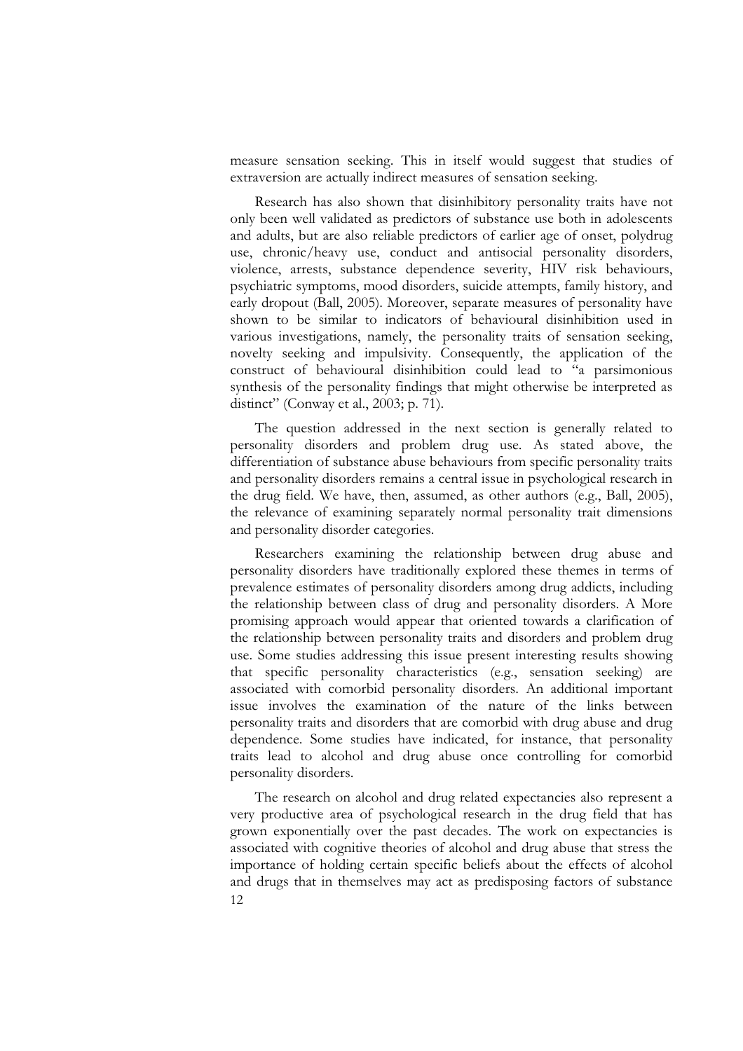measure sensation seeking. This in itself would suggest that studies of extraversion are actually indirect measures of sensation seeking.

Research has also shown that disinhibitory personality traits have not only been well validated as predictors of substance use both in adolescents use, chronic/heavy use, conduct and antisocial personality disorders,<br>violence, arrests, substance dependence severity, HIV risk behaviours,<br>psychiatric symptoms, mood disorders, suicide attempts, family history, and<br>early various investigations, namely, the personality traits of sensation seeking, novelty seeking and impulsivity. Consequently, the application of the construct of behavioural disinhibition could lead to "a parsimonious synthesis of the personality findings that might otherwise be interpreted as distinct" (Conway et al., 2003; p. 71).<br>The question addressed in the next section is generally related to personality disorders and problem drug

differentiation of substance abuse behaviours from specific personality traits and personality disorders remains a central issue in psychological research in the drug field. We have, then, assumed, as other authors (e.g., Ball, 2005), the relevance of examining separately normal personality trait dim and personality disorder categories.

Researchers examining the relationship between drug abuse and personality disorders have traditionally explored these themes in terms of prevalence estimates of personality disorders among drug addicts, including the relationship between class of drug and personality disorders. A More promising approach would appear that oriented towards a clarification of the relationship between personality traits and disorders and problem drug use. Some studies addressing this issue present interesting results showing that specific personality characteristics (e.g., sensation seeking) are associated with comorbid personality disorders. An additional important issue involves the examination of the nature of the links between personality traits and disorders that are comorbid with drug abuse and drug dependence. Some studies have indicated, for instance, that personality traits lead to alcohol and drug abuse once controlling for comorbid personality disorders.

12 The research on alcohol and drug related expectancies also represent a<br>very productive area of psychological research in the drug field that has<br>grown exponentially over the past decades. The work on expectancies is<br>associ and drugs that in themselves may act as predisposing factors of substance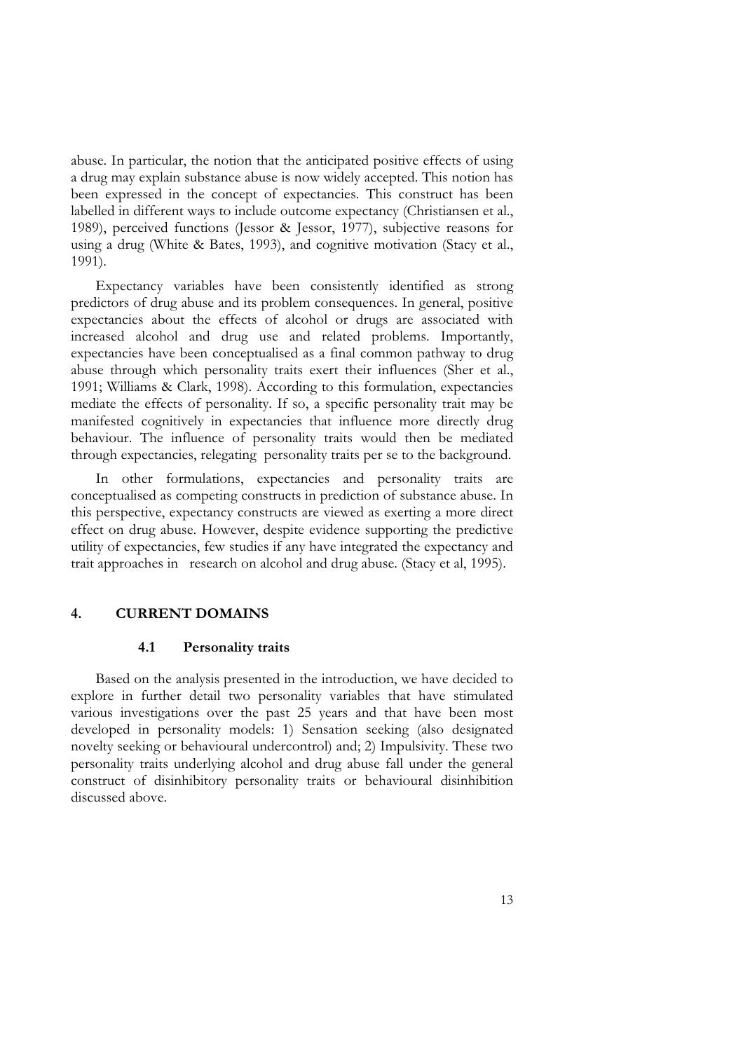abuse. In particular, the notion that the anticipated positive effects of using a drug may explain substance abuse is now widely accepted. This notion has been expressed in the concept of expectancies. This construct has been labelled in different ways to include outcome expectancy (Christiansen et al., 1989), perceived functions (Jessor & Jessor, 1977), subjective reasons for using a drug (White & Bates, 1993), and cognitive motivation (Stacy et al., 1991).

Expectancy variables have been consistently identified as strong predictors of drug abuse and its problem consequences. In general, positive expectancies about the effects of alcohol or drugs are associated with increased alcohol and drug use and related problems. Importantly, abuse through which personality traits exert their influences (Sher et al., 1991; Williams & Clark, 1998). According to this formulation, expectancies mediate the effects of personality. If so, a specific personality trait may be manifested cognitively in expectancies that influence more directly drug behaviour. The influence of personality traits would then be mediated through expectancies, relegating personality traits per se to the background. In other formulations, expectancies and personality traits are

conceptualised as competing constructs in prediction of substance abuse. In this perspective, expectancy constructs are viewed as exerting a more direct effect on drug abuse. However, despite evidence supporting the predictive utility of expectancies, few studies if any have integrated the expectancy and trait approaches in research on alcohol and drug abuse. (Stacy et al, 1995).

#### **4. CURRENT DOMAINS**

#### **4.1 Personality traits**

Based on the analysis presented in the introduction, we have decided to explore in further detail two personality variables that have stimulated various investigations over the past 25 years and that have been most developed in personality models: 1) Sensation seeking (also designated novelty seeking or behavioural undercontrol) and; 2) Impulsivity. These two personality traits underlying alcohol and drug abuse fall under the general construct of disinhibitory personality traits or behavioural disinhibition discussed above.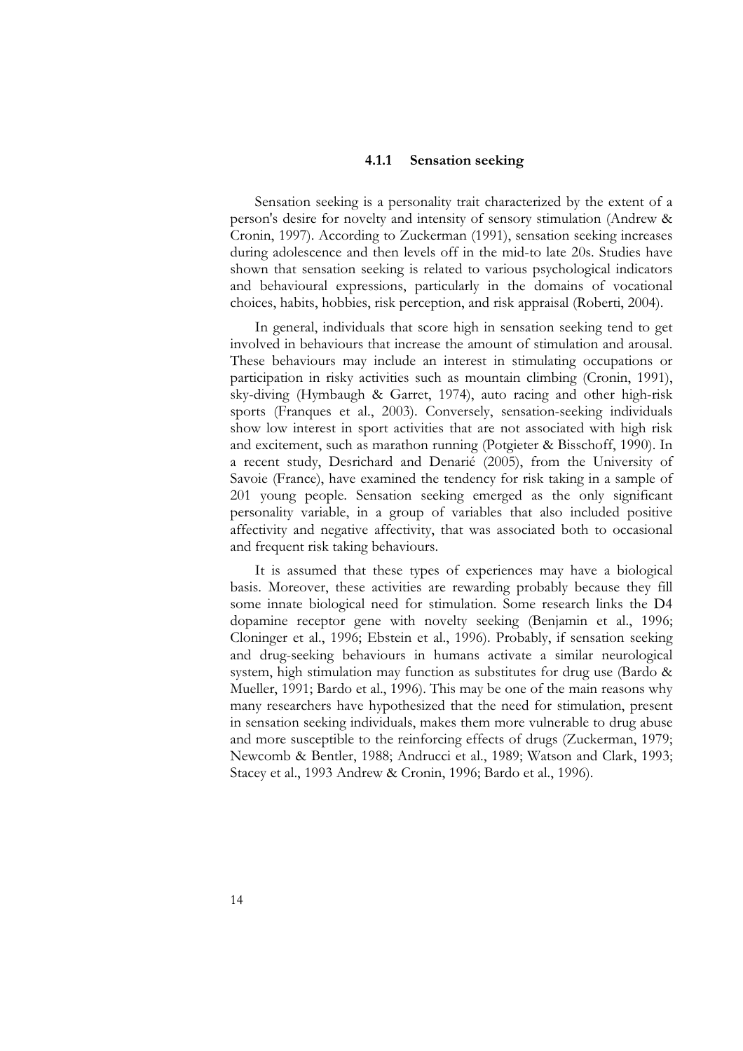#### **4.1.1 Sensation seeking**

Sensation seeking is a personality trait characterized by the extent of a person's desire for novelty and intensity of sensory stimulation (Andrew & Cronin, 1997). According to Zuckerman (1991), sensation seeking increases during adolescence and then levels off in the mid-to late 20s. Studies have shown that sensation seeking is related to various psychological indicators and behavioural expressions, particularly in the domains of vocational

choices, habits, hobbies, risk perception, and risk appraisal (Roberti, 2004).<br>In general, individuals that score high in sensation seeking tend to get<br>involved in behaviours that increase the amount of stimulation and aro participation in risky activities such as mountain climbing (Cronin, 1991), sky-diving (Hymbaugh & Garret, 1974), auto racing and other high-risk sports (Franques et al., 2003). Conversely, sensation-seeking individuals sh a recent study, Desrichard and Denarié (2005), from the University of Savoie (France), have examined the tendency for risk taking in a sample of 201 young people. Sensation seeking emerged as the only significant personality variable, in a group of variables that also included positive affectivity and negative affectivity, that was associated both to occasional and

It is assumed that these types of experiences may have a biological basis. Moreover, these activities are rewarding probably because they fill some innate biological need for stimulation. Some research links the D4 dopamine receptor gene with novelty seeking (Benjamin et al., 1996; Cloninger et al., 1996; Ebstein et al., 1996). Probably, if sensation seeking and drug-seeking behaviours in humans activate a similar neurological system, high stimulation may function as substitutes for drug use (Bardo & Mueller, 1991; Bardo et al., 1996). This may be one of the main reasons why many researchers have hypothesized that the need for stimulation, present in sensation seeking individuals, makes them more vulnerable to drug abuse and more susceptible to the reinforcing effects of drugs (Zuckerman, 1979; Newcomb & Bentler, 1988; Andrucci et al., 1989; Watson and Clark, 1993; Stacey et al., 1993 Andrew & Cronin, 1996; Bardo et al., 1996).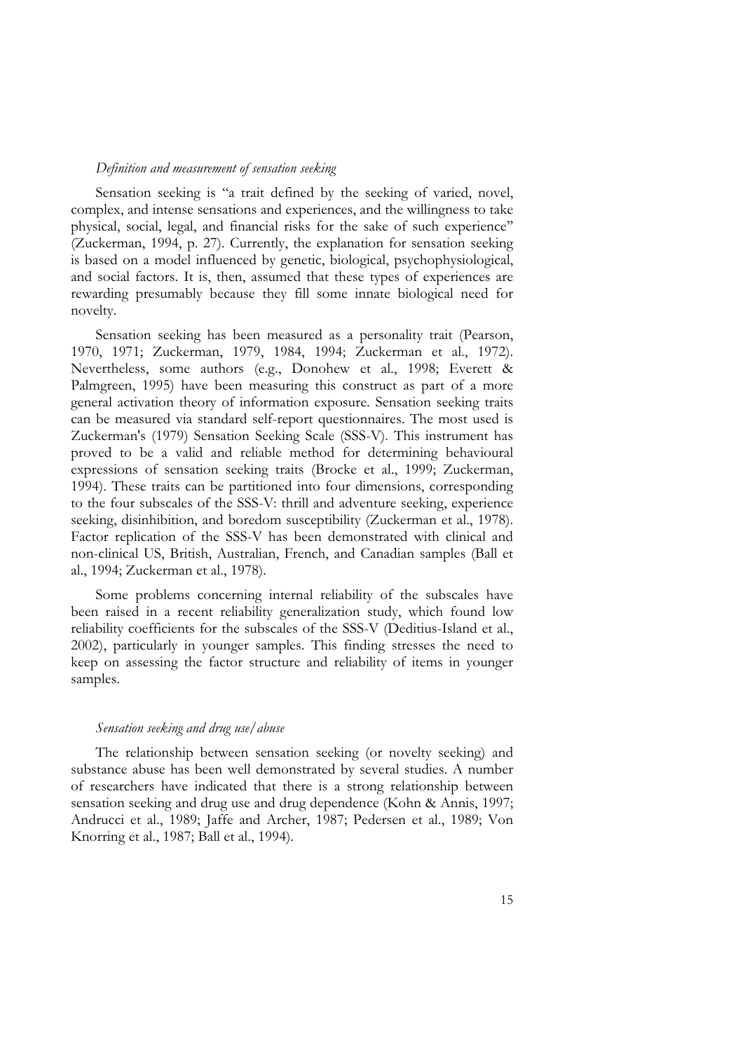#### *Definition and measurement of sensation seeking*

Sensation seeking is "a trait defined by the seeking of varied, novel, complex, and intense sensations and experiences, and the willingness to take physical, social, legal, and financial risks for the sake of such experien rewarding presumably because they fill some innate biological need for novelty.

Sensation seeking has been measured as a personality trait (Pearson, 1970, 1971; Zuckerman, 1979, 1984, 1994; Zuckerman et al., 1972). Nevertheless, some authors (e.g., Donohew et al., 1998; Everett & Palmgreen, 1995) have to the four subscales of the SSS-V: thrill and adventure seeking, experience seeking, disinhibition, and boredom susceptibility (Zuckerman et al., 1978). Factor replication of the SSS-V has been demonstrated with clinical non-clinical US, British, Australian, French, and Canadian samples (Ball et al., 1994; Zuckerman et al., 1978).<br>Some problems concerning internal reliability of the subscales have been raised in a recent reliability genera

reliability coefficients for the subscales of the SSS-V (Deditius-Island et al., 2002), particularly in younger samples. This finding stresses the need to keep on assessing the factor structure and reliability of items in younger samples.

#### *Sensation seeking and drug use/abuse*

The relationship between sensation seeking (or novelty seeking) and substance abuse has been well demonstrated by several studies. A number of researchers have indicated that there is a strong relationship between sensatio Andrucci et al., 1989; Jaffe and Archer, 1987; Pedersen et al., 1989; Von Knorring et al., 1987; Ball et al., 1994).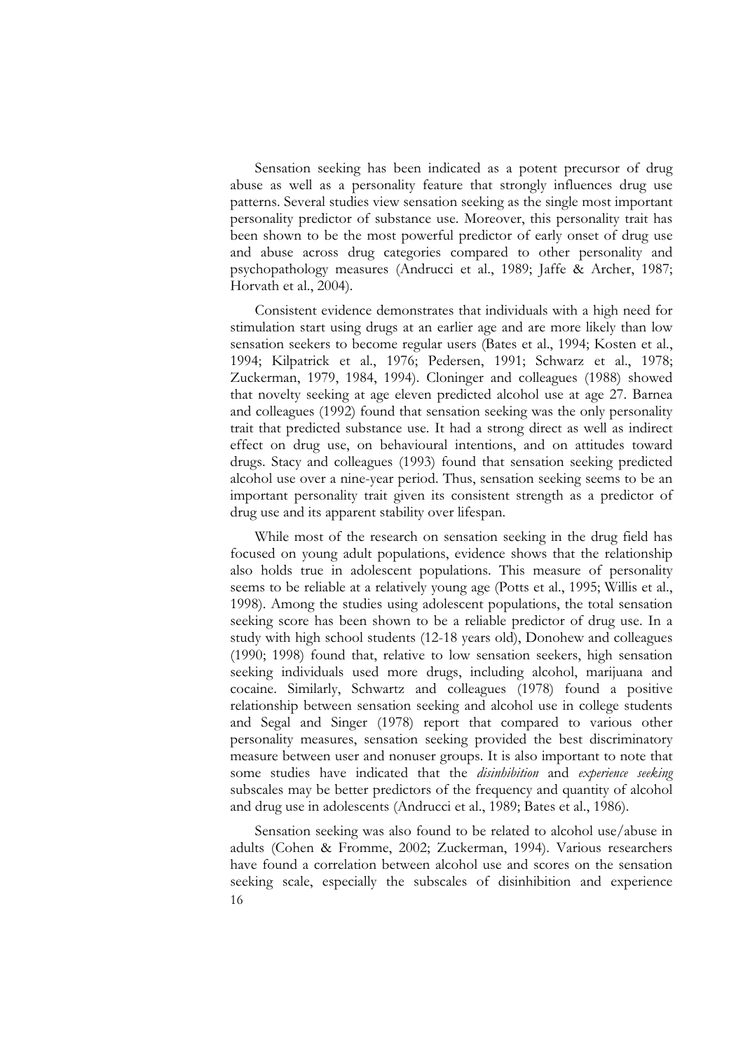Sensation seeking has been indicated as a potent precursor of drug abuse as well as a personality feature that strongly influences drug use patterns. Several studies view sensation seeking as the single most important personality predictor of substance use. Moreover, this personality trait has<br>been shown to be the most powerful predictor of early onset of drug use<br>and abuse across drug categories compared to other personality and psychopathology measures (Andrucci et al., 1989; Jaffe & Archer, 1987; Horvath et al., 2004).<br>Consistent evidence demonstrates that individuals with a high need for stimulation start using drugs at an earlier age and are m

steinulation seekers to become regular users (Bates et al., 1994; Kosten et al., 1994; Kilpatrick et al., 1976; Pedersen, 1991; Schwarz et al., 1978; Zuckerman, 1979, 1984, 1994). Cloninger and colleagues (1988) showed that novelty seeking at age eleven predicted alcohol use at age 27. Barnea and colleagues (1992) found that sensation seeking was the only personality<br>trait that predicted substance use. It had a strong direct as well as indirect<br>effect on drug use, on behavioural intentions, and on attitudes tow drugs. Stacy and colleagues (1993) found that sensation seeking predicted important personality trait given its consistent strength as a predictor of drug use and its apparent stability over lifespan.

While most of the research on sensation seeking in the drug field has<br>focused on young adult populations, evidence shows that the relationship<br>also holds true in adolescent populations. This measure of personality<br>seems to 1998). Among the studies using adolescent populations, the total sensation seeking score has been shown to be a reliable predictor of drug use. In a study with high school students (12-18 years old), Donohew and colleagues (1990; 1998) found that, relative to low sensation seekers, high sensation seeking individuals used more drugs, including alcohol, marijuana and cocaine. Similarly, Schwartz and colleagues (1978) found a positive and Segal and Singer (1978) report that compared to various other personality measures, sensation seeking provided the best discriminatory measure between user and nonuser groups. It is also important to note that<br>some studies have indicated that the *disinhibition* and *experience seeking* subscales may be better predictors of the frequency and quantity of alcohol and drug use in adolescents (Andrucci et al., 1989; Bates et al., 1986).

16 Sensation seeking was also found to be related to alcohol use/abuse in adults (Cohen & Fromme, 2002; Zuckerman, 1994). Various researchers have found a correlation between alcohol use and scores on the sensation seeking scale, especially the subscales of disinhibition and experience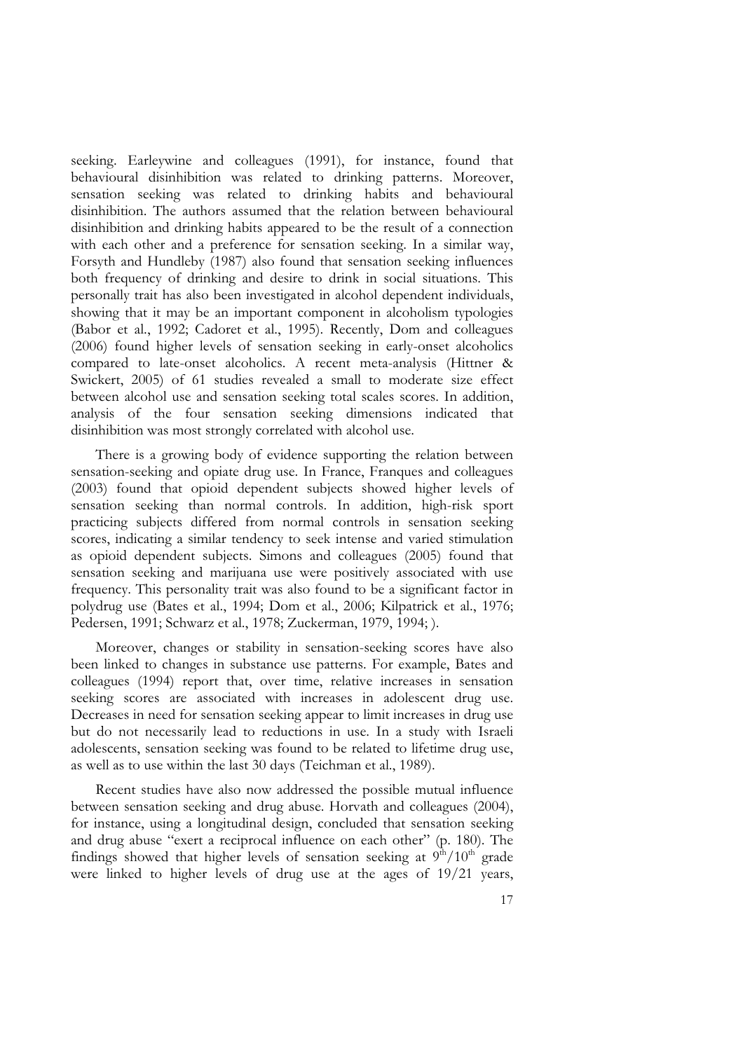seeking. Earleywine and colleagues (1991), for instance, found that behavioural disinhibition was related to drinking patterns. Moreover, sensation seeking was related to drinking habits and behavioural disinhibition. The authors assumed that the relation between behavioural disinhibition and drinking habits appeared to be the result of a connection with each other and a preference for sensation seeking. In a similar way, Forsyth and Hundleby (1987) also found that sensation seeking influences both frequency of drinking and desire to drink in social situations. This personally trait has also been investigated in alcohol dependent individuals, showing that it may be an important component in alcoholism typologies<br>(Babor et al., 1992; Cadoret et al., 1995). Recently, Dom and colleagues<br>(2006) found higher levels of sensation seeking in early-onset alcoholics<br>comp Swickert, 2005) of 61 studies revealed a small to moderate size effect<br>between alcohol use and sensation seeking total scales scores. In addition,<br>analysis of the four sensation seeking dimensions indicated that<br>disinhibit

There is a growing body of evidence supporting the relation between sensation-seeking and opiate drug use. In France, Franques and colleagues (2003) found that opioid dependent subjects showed higher levels of sensation seeking than normal controls. In addition, high-risk sport practicing subjects differed from normal controls in sensation seeking scores, indicating a similar tendency to seek intense and varied stimulation as opioid dependent subjects. Simons and colleagues (2005) found that sensation seeking and marijuana use were positively associated with use frequency. This personality trait was also found to be a significant factor in polydrug use (Bates et al., 1994; Dom et al., 2006; Kilpatrick et al., 1976; Pedersen, 1991; Schwarz et al., 1978; Zuckerman, 1979, 1994; ).

Moreover, changes or stability in sensation-seeking scores have also been linked to changes in substance use patterns. For example, Bates and colleagues (1994) report that, over time, relative increases in sensation seeking scores are associated with increases in adolescent drug use.<br>Decreases in need for sensation seeking appear to limit increases in drug use

but do not necessarily lead to reductions in use. In a study with Israeli<br>adolescents, sensation seeking was found to be related to lifetime drug use,<br>as well as to use within the last 30 days (Teichman et al., 1989).<br>Rece findings showed that higher levels of sensation seeking at  $9<sup>th</sup>/10<sup>th</sup>$  grade were linked to higher levels of drug use at the ages of 19/21 years,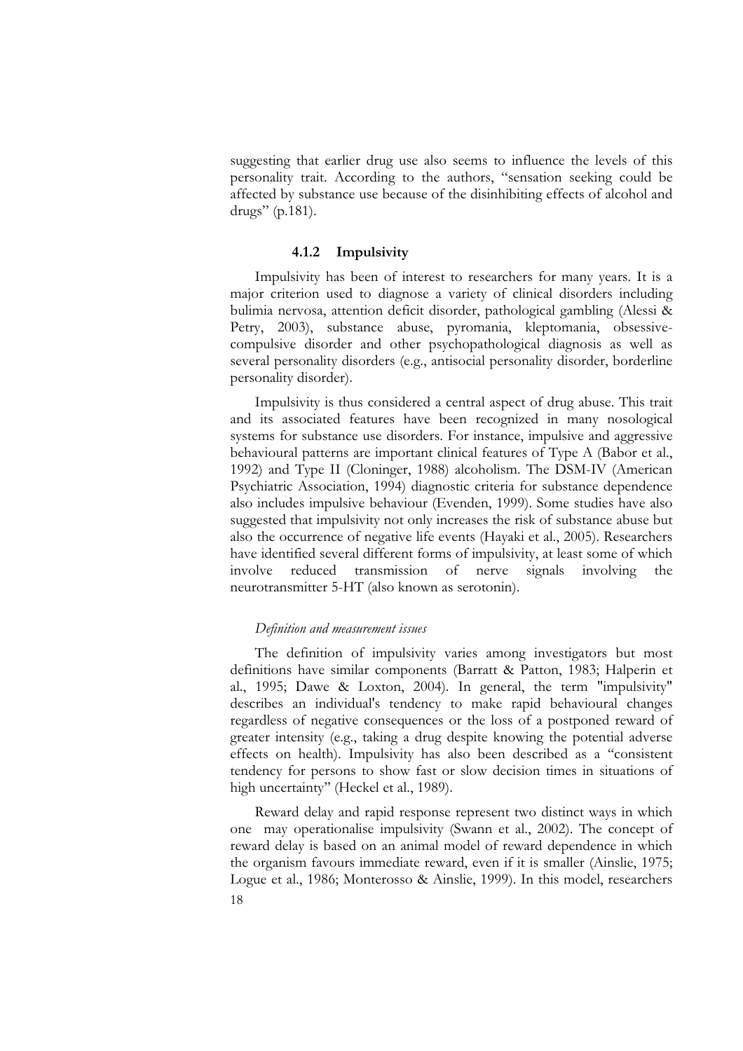suggesting that earlier drug use also seems to influence the levels of this personality trait. According to the authors, "sensation seeking could be affected by substance use because of the disinhibiting effects of alcohol and drugs" (p.181).

#### **4.1.2 Impulsivity**

Impulsivity has been of interest to researchers for many years. It is a major criterion used to diagnose a variety of clinical disorders including bulimia nervosa, attention deficit disorder, pathological gambling (Alessi & Petry, 2003), substance abuse, pyromania, kleptomania, obsessivecompulsive disorder and other psychopathological diagnosis as well as several personality disorders (e.g., antisocial personality disorder, borderline

personality disorder). Impulsivity is thus considered a central aspect of drug abuse. This trait and its associated features have been recognized in many nosological systems for substance use disorders. For instance, impulsive and aggressive behavioural patterns are important clinical features of Type A (Babor et al., 1992) and Type II (Cloninger, 1988) alcoholism. The DSM-IV (American Psychiatric Association, 1994) diagnostic criteria for substance dependence also includes impulsive behaviour (Evenden, 1999). Some studies have also suggested that impulsivity not only increases the risk of substance abuse but also the occurrence of negative life events (Hayaki et al., 2005). Researchers have identified several different forms of impulsivity, at least some of which involve reduced transmission of nerve signals involving the neurotransmitter 5-HT (also known as serotonin).

#### *Definition and measurement issues*

The definition of impulsivity varies among investigators but most definitions have similar components (Barratt & Patton, 1983; Halperin et definitions have similar components (Barratt & Patton, 1983; Halperin et al., 1995; Dawe & Loxton, 2004). In general, the term "impulsivity" describes an individual's tendency to make rapid behavioural changes regardless of negative consequences or the loss of a postponed reward of greater intensity (e.g., taking a drug despite knowing the potential adverse effects on health). Impulsivity has also been described as a ''consistent tendency for persons to show fast or slow decision times in situations of high uncertainty" (Heckel et al., 1989).

Reward delay and rapid response represent two distinct ways in which one may operationalise impulsivity (Swann et al., 2002). The concept of reward delay is based on an animal model of reward dependence in which the organism favours immediate reward, even if it is smaller (Ainslie, 1975; Logue et al., 1986; Monterosso & Ainslie, 1999). In this model, researchers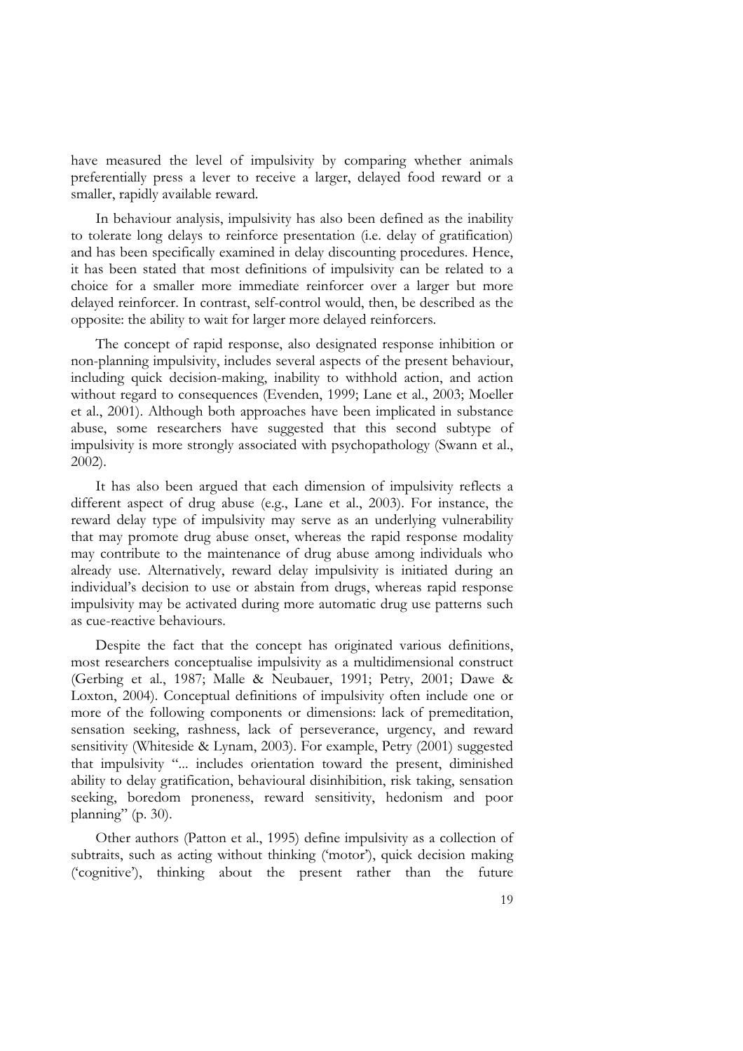have measured the level of impulsivity by comparing whether animals preferentially press a lever to receive a larger, delayed food reward or a smaller, rapidly available reward.

In behaviour analysis, impulsivity has also been defined as the inability to tolerate long delays to reinforce presentation (i.e. delay of gratification) and has been specifically examined in delay discounting procedures. Hence, it has been stated that most definitions of impulsivity can be related to a choice for a smaller more immediate reinforcer over a larger but more delayed reinforcer. In contrast, self-control would, then, be described as t

The concept of rapid response, also designated response inhibition or non-planning impulsivity, includes several aspects of the present behaviour, including quick decision-making, inability to withhold action, and action without regard to consequences (Evenden, 1999; Lane et al., 2003; Moell abuse, some researchers have suggested that this second subtype of impulsivity is more strongly associated with psychopathology (Swann et al.,

2002). It has also been argued that each dimension of impulsivity reflects a different aspect of drug abuse (e.g., Lane et al., 2003). For instance, the reward delay type of impulsivity may serve as an underlying vulnerability that may promote drug abuse onset, whereas the rapid response modality<br>may contribute to the maintenance of drug abuse among individuals who<br>already use. Alternatively, reward delay impulsivity is initiated during an<br>indiv impulsivity may be activated during more automatic drug use patterns such as cue-reactive behaviours.

Despite the fact that the concept has originated various definitions, most researchers conceptualise impulsivity as a multidimensional construct (Gerbing et al., 1987; Malle & Neubauer, 1991; Petry, 2001; Dawe & Loxton, 2004). Conceptual definitions of impulsivity often include one or more of the following components or dimensions: lack of premeditation, sensation seeking, rashness, lack of perseverance, urgency, and reward sensitivity (Whiteside & Lynam, 2003). For example, Petry (2001) suggested that impulsivity "... includes orientation toward the present, diminished ability to delay gratification, behavioural disinhibition, risk taking, sensation seeking, boredom proneness, reward sensitivity, hedonism and poor

planning" (p. 30).<br>Other authors (Patton et al., 1995) define impulsivity as a collection of subtraits, such as acting without thinking ('motor'), quick decision making ('cognitive'), thinking about the present rather than the future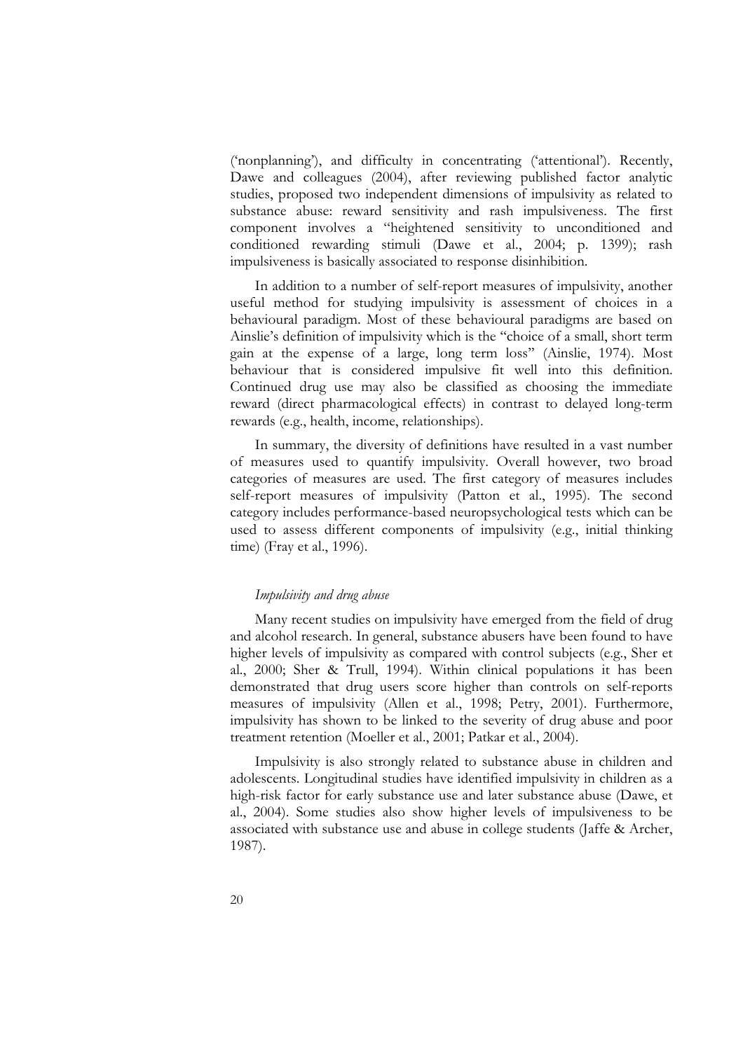('nonplanning'), and difficulty in concentrating ('attentional'). Recently, Dawe and colleagues (2004), after reviewing published factor analytic studies, proposed two independent dimensions of impulsivity as related to substance abuse: reward sensitivity and rash impulsiveness. The first component involves a "heightened sensitivity to unconditioned and conditioned rewarding stimuli (Dawe et al., 2004; p. 1399); rash impulsiveness is basically associated to response disinhibition.

In addition to a number of self-report measures of impulsivity, another useful method for studying impulsivity is assessment of choices in a behavioural paradigm. Most of these behavioural paradigms are based on Ainslie's definition of impulsivity which is the "choice of a small, short term<br>gain at the expense of a large, long term loss" (Ainslie, 1974). Most<br>behaviour that is considered impulsive fit well into this definition.<br>Co

categories of measures are used. The first category of measures includes self-report measures of impulsivity (Patton et al., 1995). The second category includes performance-based neuropsychological tests which can be used to assess different components of impulsivity (e.g., initial thinking time) (Fray et al., 1996).

#### *Impulsivity and drug abuse*

Many recent studies on impulsivity have emerged from the field of drug<br>and alcohol research. In general, substance abusers have been found to have<br>higher levels of impulsivity as compared with control subjects (e.g., Sher demonstrated that drug users score higher than controls on self-reports measures of impulsivity (Allen et al., 1998; Petry, 2001). Furthermore, impulsivity has shown to be linked to the severity of drug abuse and poor

treatment retention (Moeller et al., 2001; Patkar et al., 2004). Impulsivity is also strongly related to substance abuse in children and adolescents. Longitudinal studies have identified impulsivity in children as a high-risk factor for early substance use and later substance abuse (Dawe, et al., 2004). Some studies also show higher levels of impulsiveness to be associated with substance use and abuse in college students (Jaffe & Arch 1987).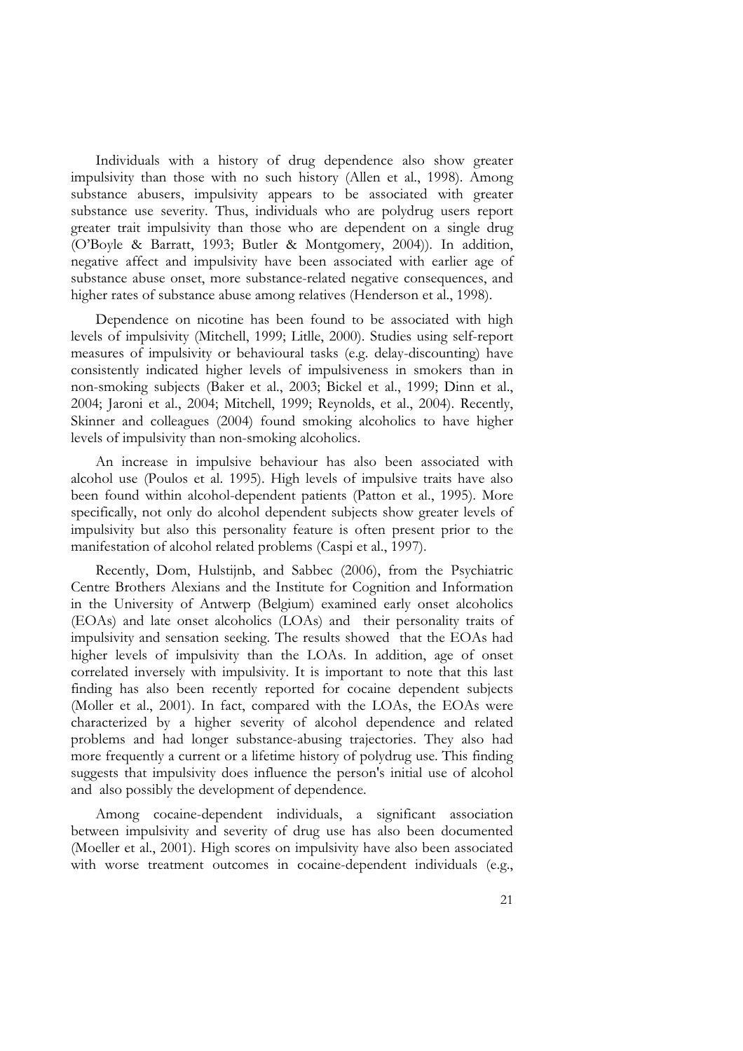Individuals with a history of drug dependence also show greater impulsivity than those with no such history (Allen et al., 1998). Among substance abusers, impulsivity appears to be associated with greater substance use severity. Thus, individuals who are polydrug users report greater trait impulsivity than those who are dependent on a single drug (O'Boyle & Barratt, 1993; Butler & Montgomery, 2004)). In addition, negative affect and impulsivity have been associated with earlier age of substance abuse onset, more substance-related negative consequences, and higher rates of substance abuse among relatives (Henderson et al., 1998). Dependence on nicotine has been found to be associated with high

levels of impulsivity (Mitchell, 1999; Litlle, 2000). Studies using self-report measures of impulsivity or behavioural tasks (e.g. delay-discounting) have consistently indicated higher levels of impulsiveness in smokers th 2004; Jaroni et al., 2004; Mitchell, 1999; Reynolds, et al., 2004). Recently, Skinner and colleagues (2004) found smoking alcoholics to have higher

levels of impulsivity than non-smoking alcoholics. An increase in impulsive behaviour has also been associated with alcohol use (Poulos et al. 1995). High levels of impulsive traits have also been found within alcohol-dependent patients (Patton et al., 1995). More specifically, not only do alcohol dependent subjects show greater levels of impulsivity but also this personality feature is often present prior to the manifestation of alcohol related problems (Caspi et al., 1997). Recently, Dom, Hulstijnb, and Sabbec (2006), from the Psychiatric

Centre Brothers Alexians and the Institute for Cognition and Information in the University of Antwerp (Belgium) examined early onset alcoholics (EOAs) and late onset alcoholics (LOAs) and their personality traits of impulsivity and sensation seeking. The results showed that the EOAs had higher finding has also been recently reported for cocaine dependent subjects (Moller et al., 2001). In fact, compared with the LOAs, the EOAs were characterized by a higher severity of alcohol dependence and related problems and more frequently a current or a lifetime history of polydrug use. This finding problems and had longer substance-abusing trajectories. They also had<br>more frequently a current or a lifetime history of polydrug use. This finding<br>suggests that impulsivity does influence the person's initial use of alcoh and also possibly the development of dependence.

Among cocaine-dependent individuals, a significant association between impulsivity and severity of drug use has also been documented (Moeller et al., 2001). High scores on impulsivity have also been associated with worse treatment outcomes in cocaine-dependent individuals (e.g.,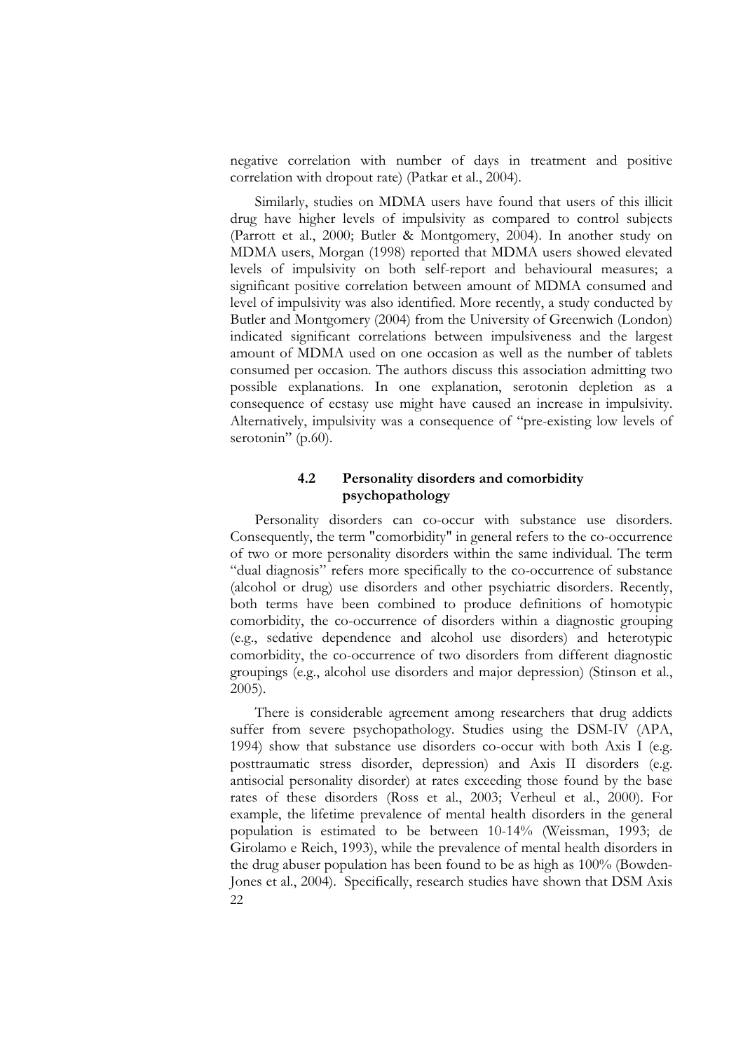negative correlation with number of days in treatment and positive correlation with dropout rate) (Patkar et al., 2004). Similarly, studies on MDMA users have found that users of this illicit

drug have higher levels of impulsivity as compared to control subjects (Parrott et al., 2000; Butler & Montgomery, 2004). In another study on MDMA users, Morgan (1998) reported that MDMA users showed elevated levels of impulsivity on both self-report and behavioural measures; a significant positive correlation between amount of MDMA consumed and level of impulsivity was also identified. More recently, a study conducted by Butle amount of MDMA used on one occasion as well as the number of tablets consumed per occasion. The authors discuss this association admitting two possible explanations. In one explanation, serotonin depletion as a consequence of ecstasy use might have caused an increase in impulsivity. Alternatively, impulsivity was a consequence of "pre-existing low levels of serotonin" (p.60).

#### **4.2 Personality disorders and comorbidity psychopathology**

Personality disorders can co-occur with substance use disorders.<br>Consequently, the term "comorbidity" in general refers to the co-occurrence<br>of two or more personality disorders within the same individual. The term<br>"dual d (alcohol or drug) use disorders and other psychiatric disorders. Recently, both terms have been combined to produce definitions of homotypic comorbidity, the co-occurrence of disorders within a diagnostic grouping (e.g., sedative dependence and alcohol use disorders) and heterotypic comorbidity, the co-occurrence of two disorders from different diagnostic groupings (e.g., alcohol use disorders and major depression) (Stinson et al., 2005).

22 There is considerable agreement among researchers that drug addicts suffer from severe psychopathology. Studies using the DSM-IV (APA, 1994) show that substance use disorders co-occur with both Axis I (e.g. posttraumatic stress disorder, depression) and Axis II disorders (e.g. antisocial personality disorder) at rates exceeding those found by the base rates of these disorders (Ross et al., 2003; Verheul et al., 2000). For example, the lifetime prevalence of mental health disorders in the general population is estimated to be between 10-14% (Weissman, 1993; de Girolamo e Reich, 1993), while the prevalence of mental health disorders in the drug abuser population has been found to be as high as 100% (Bowden- Jones et al., 2004). Specifically, research studies have shown that DSM Axis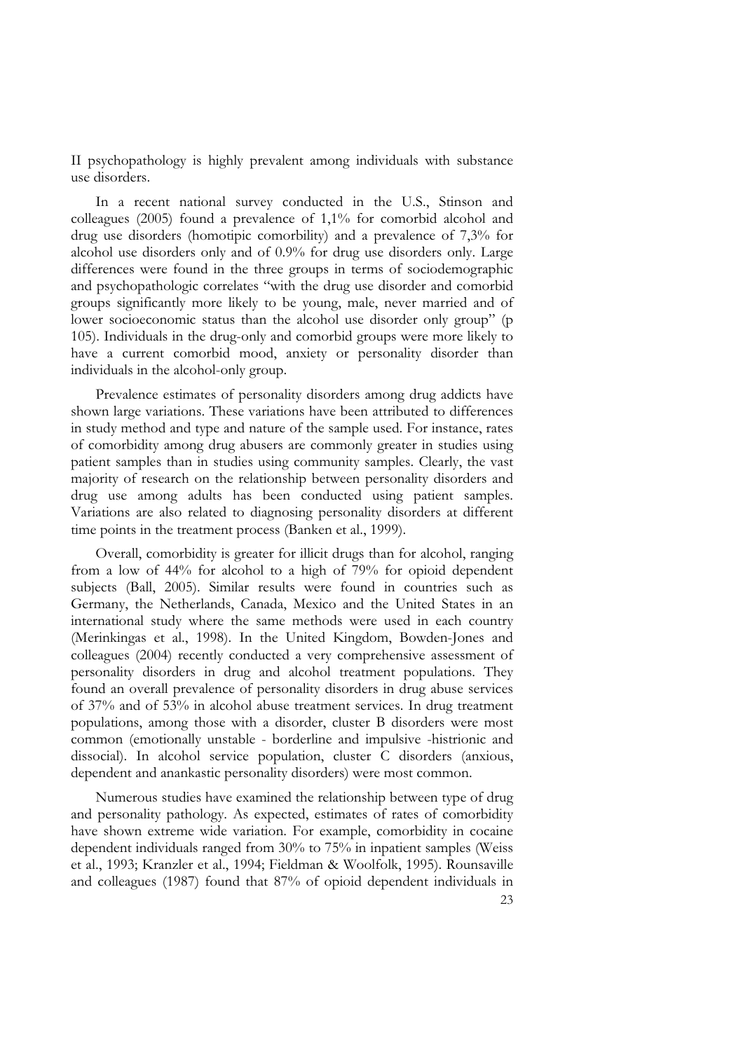II psychopathology is highly prevalent among individuals with substance

use disorders.<br>In a recent national survey conducted in the U.S., Stinson and colleagues (2005) found a prevalence of 1,1% for comorbid alcohol and drug use disorders (homotipic comorbility) and a prevalence of  $7,3\%$  for alcohol use disorders only and of 0.9% for drug use disorders only. Large differences were found in the three groups in terms of sociodemographic and psychopathologic correlates "with the drug use disorder and comorbid groups significantly more likely to be young, male, never married and of lower socioeconomic status than the alcohol use disorder only group" (p 105). Individuals in the drug-only and comorbid groups were more likely to have a current comorbid mood, anxiety or personality disorder than individuals in the alcohol-only group.

Prevalence estimates of personality disorders among drug addicts have shown large variations. These variations have been attributed to differences in study method and type and nature of the sample used. For instance, rates of comorbidity among drug abusers are commonly greater in studies using patient samples than in studies using community samples. Clearly, the vast majority of research on the relationship between personality disorders and drug use among adults has been conducted using patient samples. Variations are also related to diagnosing personality disorders at different time p

Overall, comorbidity is greater for illicit drugs than for alcohol, ranging from a low of 44% for alcohol to a high of 79% for opioid dependent subjects (Ball, 2005). Similar results were found in countries such as Germany, the Netherlands, Canada, Mexico and the United States in an international study where the same methods were used in each country (Merinkingas et al., 1998). In the United Kingdom, Bowden-Jones and colleagues (2004) recently conducted a very comprehensive assessment of personality disorders in drug and alcohol treatment populations. They found an overall prevalence of personality disorders in drug abuse services of 37% and of 53% in alcohol abuse treatment services. In drug treatment populations, among those with a disorder, cluster B disorders were most common (emotionally unstable - borderline and impulsive -histrionic and dissocial). In alcohol service population, cluster C disorders (anxious, dependent and anankastic personality disorders) were most common.

Numerous studies have examined the relationship between type of drug and personality pathology. As expected, estimates of rates of comorbidity have shown extreme wide variation. For example, comorbidity in cocaine dependent individuals ranged from 30% to 75% in inpatient samples (Weiss et al., 1993; Kranzler et al., 1994; Fieldman & Woolfolk, 1995). Rounsaville and colleagues (1987) found that 87% of opioid dependent individuals in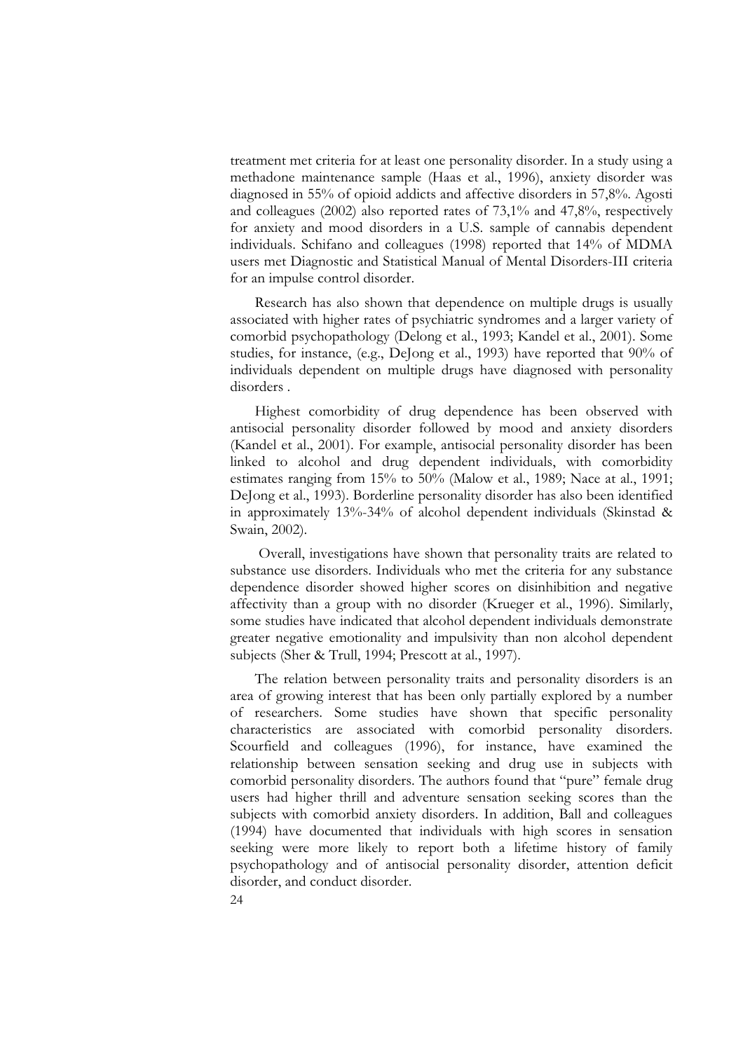treatment met criteria for at least one personality disorder. In a study using a methadone maintenance sample (Haas et al., 1996), anxiety disorder was diagnosed in 55% of opioid addicts and affective disorders in 57,8%. Agosti and colleagues (2002) also reported rates of 73,1% and 47,8%, respectively for anxiety and mood disorders in a U.S. sample of cannabis dependent individuals. Schifano and colleagues (1998) reported that 14% of MDMA users met Diagnostic and Statistical Manual of Mental Disorders-III criteria for an impulse control disorder.

Research has also shown that dependence on multiple drugs is usually associated with higher rates of psychiatric syndromes and a larger variety of comorbid psychopathology (Delong et al., 1993; Kandel et al., 2001). Some studies, for instance, (e.g., DeJong et al., 1993) have reported that 90% of individuals dependent on multiple drugs have diagnosed with personality disorders.

Highest comorbidity of drug dependence has been observed with antisocial personality disorder followed by mood and anxiety disorders (Kandel et al., 2001). For example, antisocial personality disorder has been linked to alcohol and drug dependent individuals, with comorbidity<br>estimates ranging from 15% to 50% (Malow et al., 1989; Nace at al., 1991;<br>DeJong et al., 1993). Borderline personality disorder has also been identified<br>in Swain, 2002).

 Overall, investigations have shown that personality traits are related to substance use disorders. Individuals who met the criteria for any substance dependence disorder showed higher scores on disinhibition and negative affectivity than a group with no disorder (Krueger et al., 1996). Similarly, some studies have indicated that alcohol dependent individuals demonstrate greater negative emotionality and impulsivity than non alcohol dependent subjects (Sher & Trull, 1994; Prescott at al., 1997). The relation between personality traits and personality disorders is an

area of growing interest that has been only partially explored by a number<br>of researchers. Some studies have shown that specific personality<br>characteristics are associated with comorbid personality disorders.<br>Scourfield an users had higher thrill and adventure sensation seeking scores than the subjects with comorbid anxiety disorders. In addition, Ball and colleagues (1994) have documented that individuals with high scores in sensation seeking were more likely to report both a lifetime history of family psychopathology and of antisocial personality disorder, attention deficit disorder, and conduct disorder.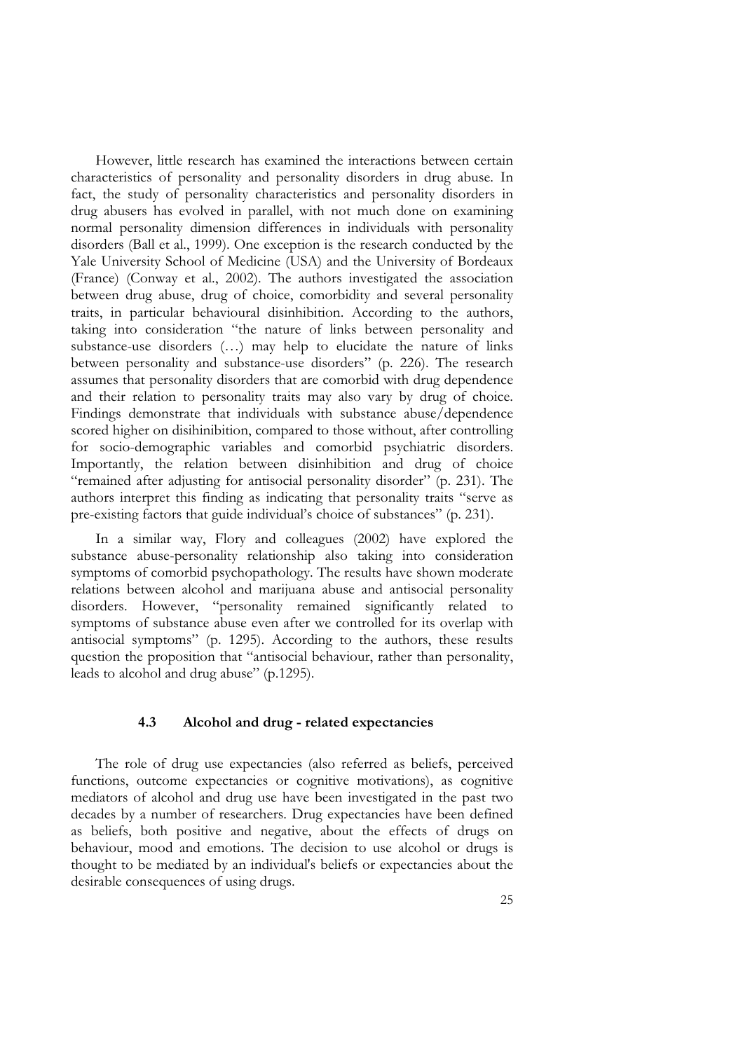However, little research has examined the interactions between certain characteristics of personality and personality disorders in drug abuse. In fact, the study of personality characteristics and personality disorders in disorders (Ball et al., 1999). One exception is the research conducted by the Yale University School of Medicine (USA) and the University of Bordeaux (France) (Conway et al., 2002). The authors investigated the association traits, in particular behavioural disinhibition. According to the authors, taking into consideration "the nature of links between personality and substance-use disorders (...) may help to elucidate the nature of links betw and their relation to personality traits may also vary by drug of choice.<br>Findings demonstrate that individuals with substance abuse/dependence scored higher on disihinibition, compared to those without, after controlling<br>for socio-demographic variables and comorbid psychiatric disorders.<br>Importantly, the relation between disinhibition and drug of choice<br>"remained pre-existing factors that guide individual's choice of substances" (p. 231).

In a similar way, Flory and colleagues (2002) have explored the substance abuse-personality relationship also taking into consideration symptoms of comorbid psychopathology. The results have shown moderate relations between alcohol and marijuana abuse and antisocial personality disorders. However, "personality remained significantly related to symptoms of substance abuse even after we controlled for its overlap with antisocial symptoms" (p. 1295). According to the authors, these results question the proposition that "antisocial behaviour, rather than personality, leads to alcohol and drug abuse" (p.1295).

#### **4.3 Alcohol and drug - related expectancies**

The role of drug use expectancies (also referred as beliefs, perceived functions, outcome expectancies or cognitive motivations), as cognitive mediators of alcohol and drug use have been investigated in the past two decade as beliefs, both positive and negative, about the effects of drugs on behaviour, mood and emotions. The decision to use alcohol or drugs is as beliefs, both positive and negative, about the effects of drugs on<br>behaviour, mood and emotions. The decision to use alcohol or drugs is<br>thought to be mediated by an individual's beliefs or expectancies about the desirable consequences of using drugs.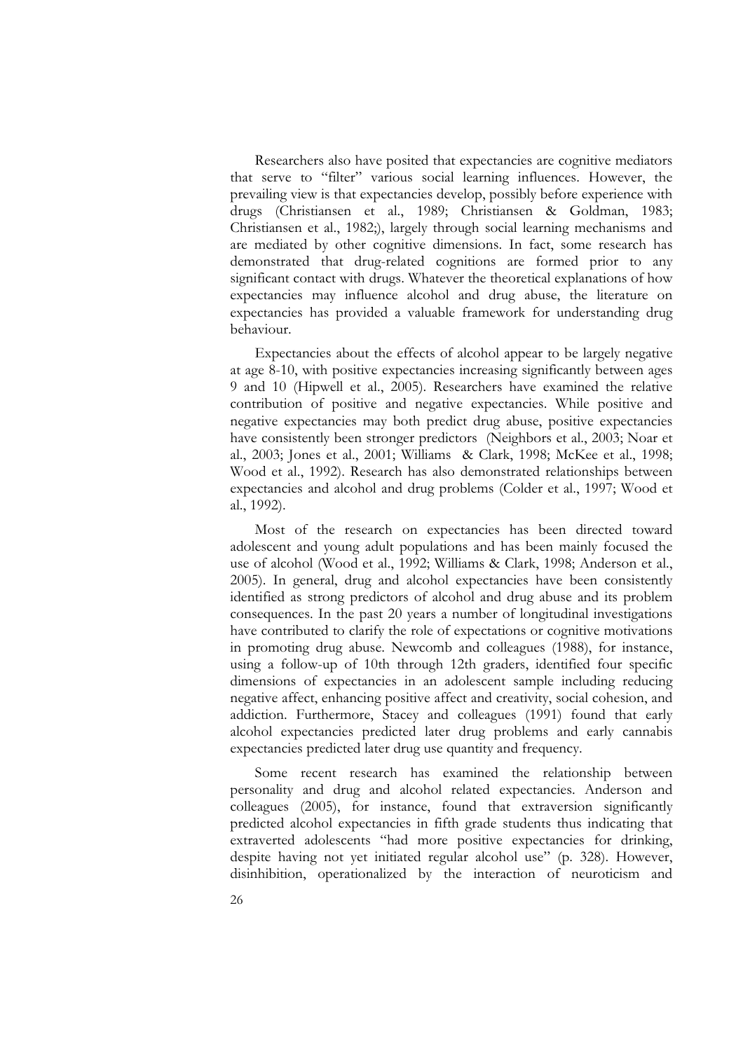Researchers also have posited that expectancies are cognitive mediators that serve to "filter" various social learning influences. However, the prevailing view is that expectancies develop, possibly before experience with drugs (Christiansen et al., 1989; Christiansen & Goldman, 1983; Christiansen et al., 1982;), largely through social learning mechanisms and are mediated by other cognitive dimensions. In fact, some research has demonstrated that drug-related cognitions are formed prior to any significant contact with drugs. Whatever the theoretical explanations of how expectancies may influence alcohol and drug abuse, the literature on expectancies has provided a valuable framework for understanding drug behaviour.

Expectancies about the effects of alcohol appear to be largely negative at age 8-10, with positive expectancies increasing significantly between ages 9 and 10 (Hipwell et al., 2005). Researchers have examined the relative contribution of positive and negative expectancies. While positive and negative expectancies may both predict drug abuse, positive expectancies have consistently been stronger predictors (Neighbors et al., 2003; Noar et al., 2003; Jones et al., 2001; Williams & Clark, 1998; McKee et al., 1998; Wood et al., 1992). Research has also demonstrated relationships between expectancies and alcohol and drug problems (Colder et al., 1997; Wood et al., 1992).

Most of the research on expectancies has been directed toward<br>adolescent and young adult populations and has been mainly focused the<br>use of alcohol (Wood et al., 1992; Williams & Clark, 1998; Anderson et al.,<br>2005). In gen consequences. In the past 20 years a number of longitudinal investigations have contributed to clarify the role of expectations or cognitive motivations in promoting drug abuse. Newcomb and colleagues (1988), for instance, using a follow-up of 10th through 12th graders, identified four specific dimensions of expectancies in an adolescent sample including reducing negative affect, enhancing positive affect and creativity, social cohesion, and addiction. Furthermore, Stacey and colleagues (1991) found that early alcohol expectancies predicted later drug problems and early cannabis expectancies predicted later drug use quantity and frequency.

Some recent research has examined the relationship between<br>personality and drug and alcohol related expectancies. Anderson and colleagues (2005), for instance, found that extraversion significantly<br>predicted alcohol expectancies in fifth grade students thus indicating that<br>extraverted adolescents "had more positive expectancies for drinking,<br>despi disinhibition, operationalized by the interaction of neuroticism and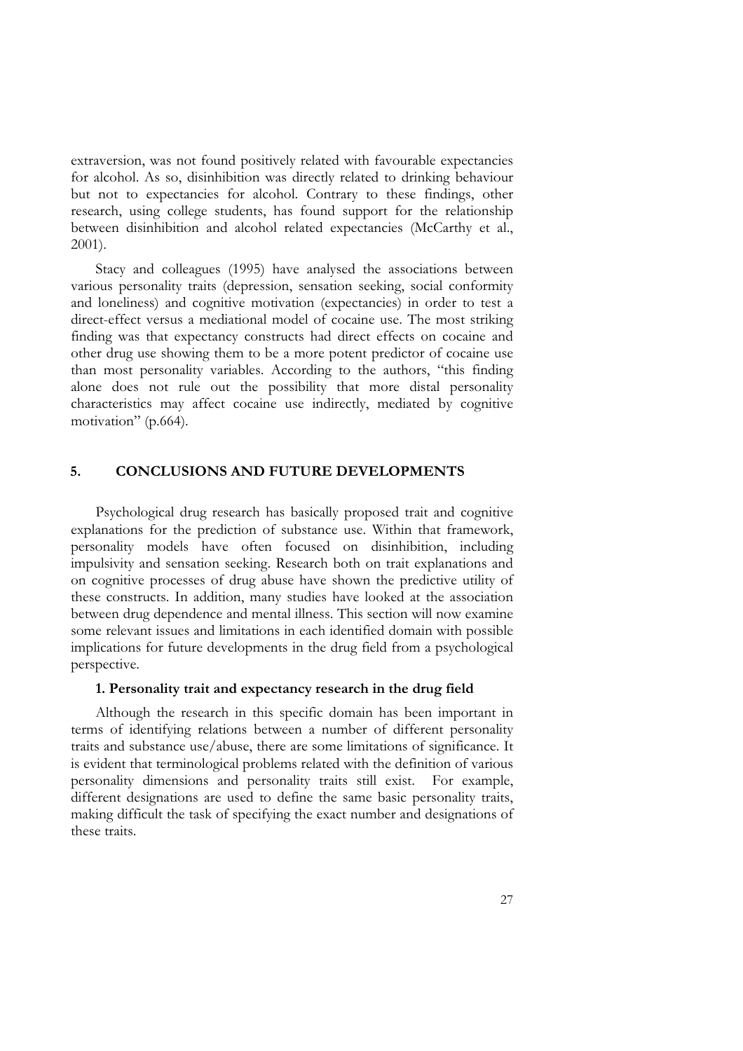extraversion, was not found positively related with favourable expectancies for alcohol. As so, disinhibition was directly related to drinking behaviour but not to expectancies for alcohol. Contrary to these findings, other research, using college students, has found support for the relationship between disinhibition and alcohol related expectancies (McCarthy et al., 2001).

Stacy and colleagues (1995) have analysed the associations between various personality traits (depression, sensation seeking, social conformity and loneliness) and cognitive motivation (expectancies) in order to test a direct-effect versus a mediational model of cocaine use. The most striking<br>finding was that expectancy constructs had direct effects on cocaine and<br>other drug use showing them to be a more potent predictor of cocaine use than most personality variables. According to the authors, "this finding alone does not rule out the possibility that more distal personality characteristics may affect cocaine use indirectly, mediated by cognitive motivation" (p.664).

#### **5. CONCLUSIONS AND FUTURE DEVELOPMENTS**

Psychological drug research has basically proposed trait and cognitive explanations for the prediction of substance use. Within that framework, personality models have often focused on disinhibition, including<br>impulsivity and sensation seeking. Research both on trait explanations and<br>on cognitive processes of drug abuse have shown the predictive utility of these constructs. In addition, many studies have looked at the association between drug dependence and mental illness. This section will now examine some relevant issues and limitations in each identified domain with possible implications for future developments in the drug field from a psychological perspective.

#### **1. Personality trait and expectancy research in the drug field**

Although the research in this specific domain has been important in terms of identifying relations between a number of different personality<br>traits and substance use/abuse, there are some limitations of significance. It<br>is evident that terminological problems related with the definition of personality dimensions and personality traits still exist. For example, different designations are used to define the same basic personality traits, making difficult the task of specifying the exact number and designations of these traits.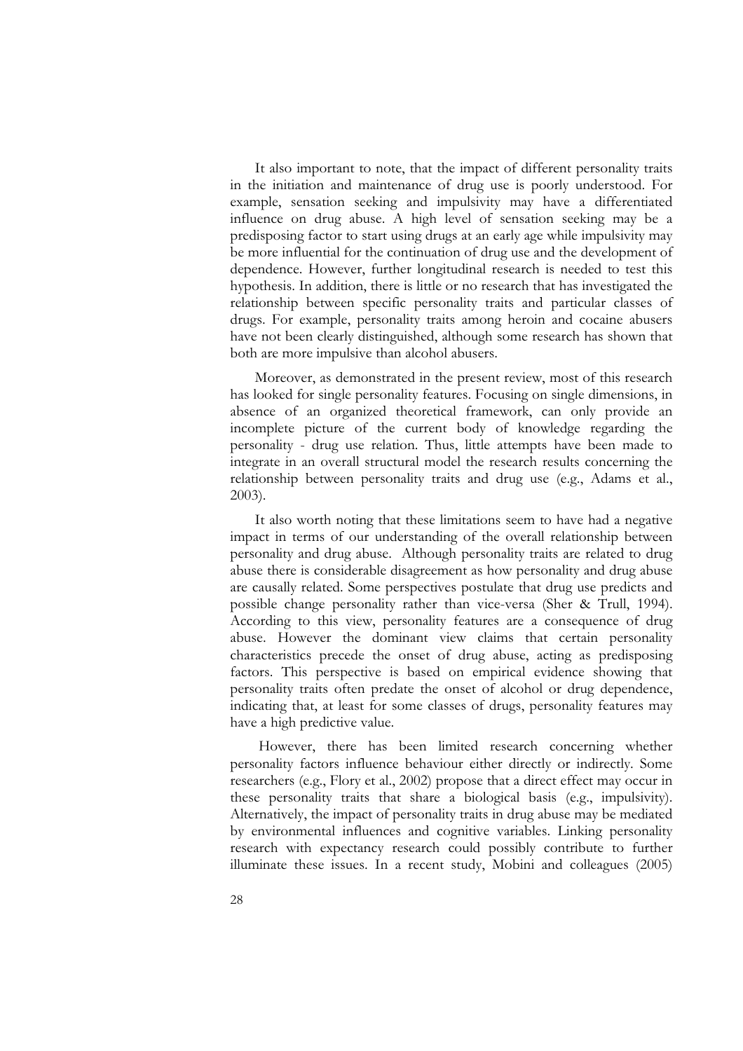It also important to note, that the impact of different personality traits in the initiation and maintenance of drug use is poorly understood. For example, sensation seeking and impulsivity may have a differentiated influence on drug abuse. A high level of sensation seeking may be a predisposing factor to start using drugs at an early age while impulsivity may be more influential for the continuation of drug use and the development of dependence. However, further longitudinal research is needed to test this hypothesis. In addition, there is little or no research that has investi relationship between specific personality traits and particular classes of drugs. For example, personality traits among heroin and cocaine abusers have not been clearly distinguished, although some research has shown that both are more impulsive than alcohol abusers.

Moreover, as demonstrated in the present review, most of this research has looked for single personality features. Focusing on single dimensions, in absence of an organized theoretical framework, can only provide an incomplete picture of the current body of knowledge regarding the personality - drug use relation. Thus, little attempts have been made to integrate in an overall structural model the research results concerning the relationship between personality traits and drug use (e.g., Adams et al., 2003).

It also worth noting that these limitations seem to have had a negative impact in terms of our understanding of the overall relationship between personality and drug abuse. Although personality traits are related to drug abuse there is considerable disagreement as how personality and drug abuse. are causally related. Some perspectives postulate that drug use predicts and possible change personality rather than vice-versa (Sher & Trull, 1994). According to this view, personality features are a consequence of drug<br>abuse. However the dominant view claims that certain personality<br>characteristics precede the onset of drug abuse, acting as predisposing factors. This perspective is based on empirical evidence showing that personality traits often predate the onset of alcohol or drug dependence, indicating that, at least for some classes of drugs, personality features may

However, there has been limited research concerning whether personality factors influence behaviour either directly or indirectly. Some researchers (e.g., Flory et al., 2002) propose that a direct effect may occur in these personality traits that share a biological basis (e.g., impulsivity). Alternatively, the impact of personality traits in drug abuse may be mediated by environmental influences and cognitive variables. Linking personality research with expectancy research could possibly contribute to further illuminate these issues. In a recent study, Mobini and colleagues (2005)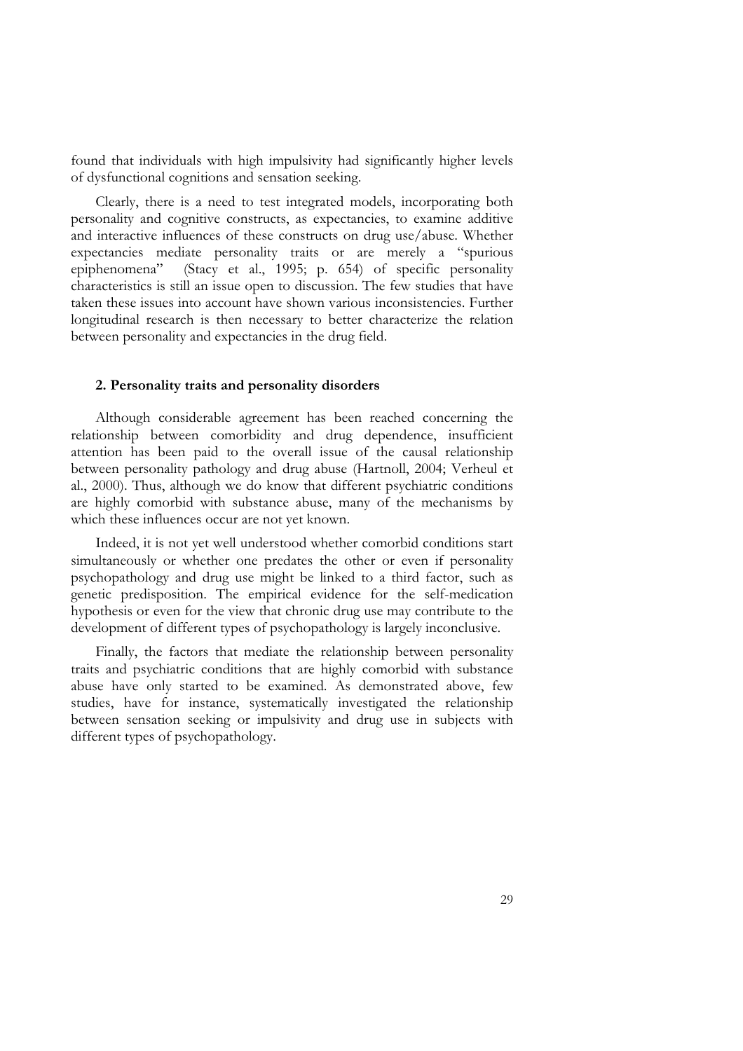found that individuals with high impulsivity had significantly higher levels of dysfunctional cognitions and sensation seeking.

Clearly, there is a need to test integrated models, incorporating both personality and cognitive constructs, as expectancies, to examine additive and interactive influences of these constructs on drug use/abuse. Whether expectancies mediate personality traits or are merely a "spurious epiphenomena" (Stacy et al., 1995; p. 654) of specific personality characteristics is still an issue open to discussion. The few studies that have taken these issues into account have shown various inconsistencies. Further longitudinal research is then necessary to better characterize the relation between personality and expectancies in the drug field.

#### **2. Personality traits and personality disorders**

Although considerable agreement has been reached concerning the relationship between comorbidity and drug dependence, insufficient attention has been paid to the overall issue of the causal relationship<br>between personality pathology and drug abuse (Hartnoll, 2004; Verheul et<br>al., 2000). Thus, although we do know that different psychiatric conditions are highly comorbid with substance abuse, many of the mechanisms by which these influences occur are not yet known.

Indeed, it is not yet well understood whether comorbid conditions start simultaneously or whether one predates the other or even if personality psychopathology and drug use might be linked to a third factor, such as genetic predisposition. The empirical evidence for the self-medication hypothesis or even for the view that chronic drug use may contribute to the development of different types of psychopathology is largely inconclusive.

Finally, the factors that mediate the relationship between personality traits and psychiatric conditions that are highly comorbid with substance abuse have only started to be examined. As demonstrated above, few studies, have for instance, systematically investigated the relationship between sensation seeking or impulsivity and drug use in subjects with different types of psychopathology.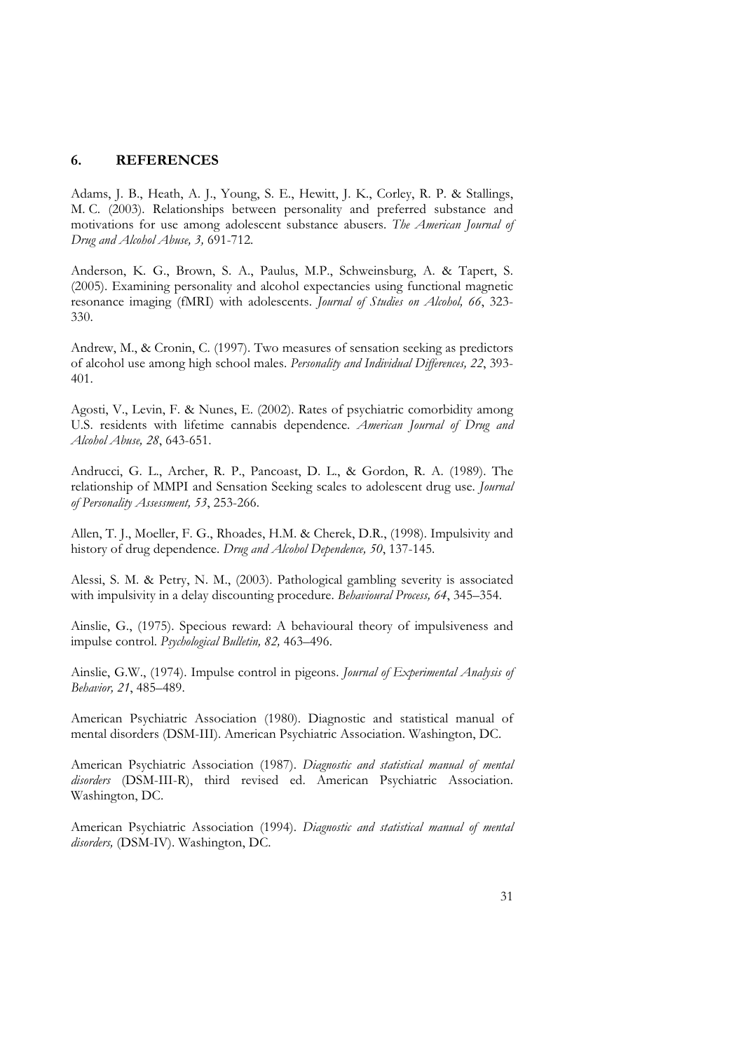#### **6. REFERENCES**

Adams, J. B., Heath, A. J., Young, S. E., Hewitt, J. K., Corley, R. P. & Stallings, M. C. (2003). Relationships between personality and preferred substance and motivations for use among adolescent substance abusers. *The American Journal of Drug and Alcohol Abuse, 3,* 691-712.

Anderson, K. G., Brown, S. A., Paulus, M.P., Schweinsburg, A. & Tapert, S. (2005). Examining personality and alcohol expectancies using functional magnetic resonance imaging (fMRI) with adolescents. *Journal of Studies on Alcohol, 66*, 323- 330.

Andrew, M., & Cronin, C. (1997). Two measures of sensation seeking as predictors of alcohol use among high school males. *Personality and Individual Differences, 22*, 393- 401.

Agosti, V., Levin, F. & Nunes, E. (2002). Rates of psychiatric comorbidity among U.S. residents with lifetime cannabis dependence. *American Journal of Drug and Alcohol Abuse, 28*, 643-651.

Andrucci, G. L., Archer, R. P., Pancoast, D. L., & Gordon, R. A. (1989). The relationship of MMPI and Sensation Seeking scales to adolescent drug use. *Journal of Personality Assessment, 53*, 253-266.

Allen, T. J., Moeller, F. G., Rhoades, H.M. & Cherek, D.R., (1998). Impulsivity and history of drug dependence. *Drug and Alcohol Dependence, 50*, 137-145.

Alessi, S. M. & Petry, N. M., (2003). Pathological gambling severity is associated with impulsivity in a delay discounting procedure. *Behavioural Process, 64*, 345–354.

Ainslie, G., (1975). Specious reward: A behavioural theory of impulsiveness and impulse control. *Psychological Bulletin, 82,* 463–496.

Ainslie, G.W., (1974). Impulse control in pigeons. *Journal of Experimental Analysis of Behavior, 21*, 485–489.

American Psychiatric Association (1980). Diagnostic and statistical manual of mental disorders (DSM-III). American Psychiatric Association. Washington, DC.

American Psychiatric Association (1987). *Diagnostic and statistical manual of mental disorders* (DSM-III-R), third revised ed. American Psychiatric Association. Washington, DC.

American Psychiatric Association (1994). *Diagnostic and statistical manual of mental disorders,* (DSM-IV). Washington, DC.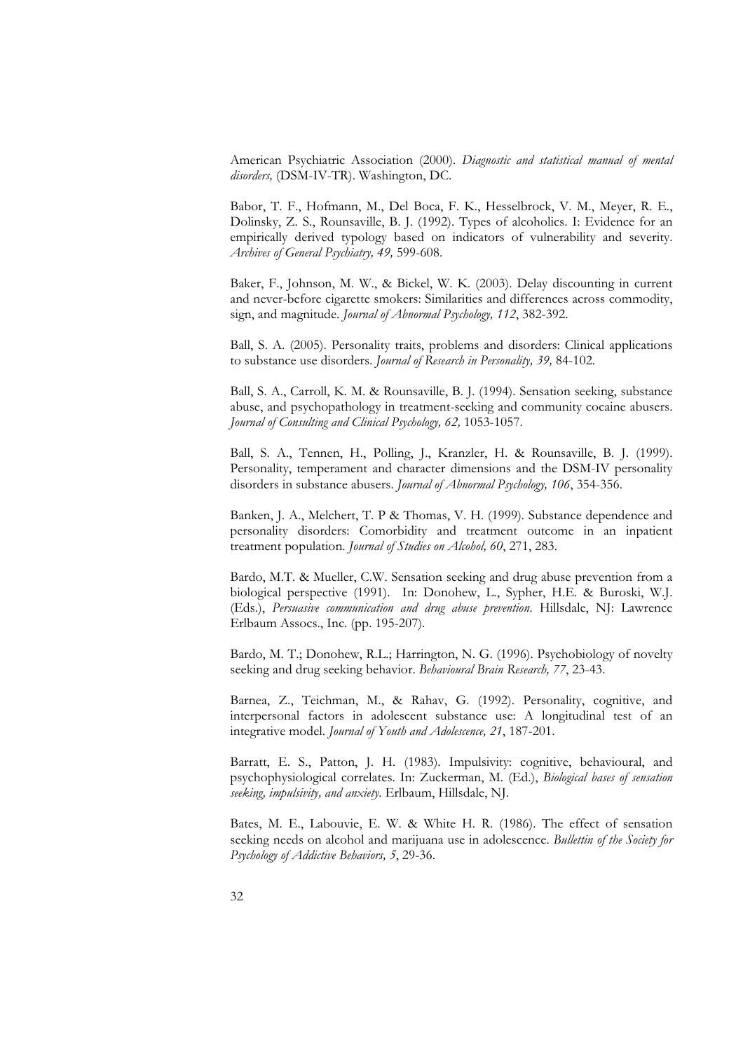American Psychiatric Association (2000). *Diagnostic and statistical manual of mental disorders,* (DSM-IV-TR). Washington, DC.

Babor, T. F., Hofmann, M., Del Boca, F. K., Hesselbrock, V. M., Meyer, R. E., Dolinsky, Z. S., Rounsaville, B. J. (1992). Types of alcoholics. I: Evidence for an empirically derived typology based on indicators of vulnerab *Archives of General Psychiatry, 49,* 599-608.

Baker, F., Johnson, M. W., & Bickel, W. K. (2003). Delay discounting in current and never-before cigarette smokers: Similarities and differences across commodity, sign, and magnitude. *Journal of Abnormal Psychology, 112*, 382-392.

Ball, S. A. (2005). Personality traits, problems and disorders: Clinical applications to substance use disorders. *Journal of Research in Personality, 39,* 84-102.

Ball, S. A., Carroll, K. M. & Rounsaville, B. J. (1994). Sensation seeking, substance abuse, and psychopathology in treatment-seeking and community cocaine abusers. *Journal of Consulting and Clinical Psychology, 62,* 1053-1057.

Ball, S. A., Tennen, H., Polling, J., Kranzler, H. & Rounsaville, B. J. (1999). Personality, temperament and character dimensions and the DSM-IV personality disorders in substance abusers. *Journal of Abnormal Psychology*,

Banken, J. A., Melchert, T. P & Thomas, V. H. (1999). Substance dependence and personality disorders: Comorbidity and treatment outcome in an inpatient treatment population. *Journal of Studies on Alcohol, 60*, 271, 283.

Bardo, M.T. & Mueller, C.W. Sensation seeking and drug abuse prevention from a biological perspective (1991). In: Donohew, L., Sypher, H.E. & Buroski, W.J. (Eds.), *Persuasive communication and drug abuse prevention*. Hill Erlbaum Assocs., Inc. (pp. 195-207).

Bardo, M. T.; Donohew, R.L.; Harrington, N. G. (1996). Psychobiology of novelty seeking and drug seeking behavior. *Behavioural Brain Research, 77*, 23-43.

Barnea, Z., Teichman, M., & Rahav, G. (1992). Personality, cognitive, and interpersonal factors in adolescent substance use: A longitudinal test of an integrative model. *Journal of Youth and Adolescence, 21*, 187-201.

Barratt, E. S., Patton, J. H. (1983). Impulsivity: cognitive, behavioural, and psychophysiological correlates. In: Zuckerman, M. (Ed.), *Biological bases of sensation seeking, impulsivity, and anxiety*. Erlbaum, Hillsdale, NJ.

Bates, M. E., Labouvie, E. W. & White H. R. (1986). The effect of sensation seeking needs on alcohol and marijuana use in adolescence. *Bullettin of the Society for Psychology of Addictive Behaviors, 5*, 29-36.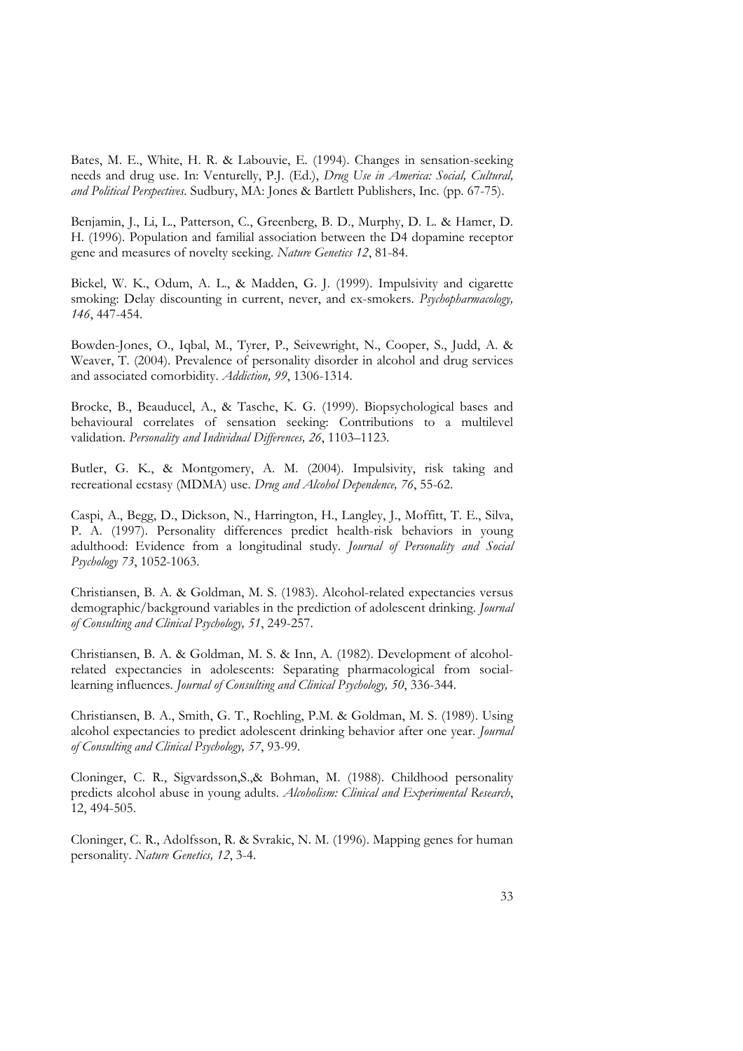Bates, M. E., White, H. R. & Labouvie, E. (1994). Changes in sensation-seeking<br>needs and drug use. In: Venturelly, P.J. (Ed.), *Drug Use in America: Social, Cultural,*<br>*and Political Perspectives*. Sudbury, MA: Jones & Bar

Benjamin, J., Li, L., Patterson, C., Greenberg, B. D., Murphy, D. L. & Hamer, D. H. (1996). Population and familial association between the D4 dopamine receptor gene and measures of novelty seeking. *Nature Genetics 12*, 81-84.

Bickel, W. K., Odum, A. L., & Madden, G. J. (1999). Impulsivity and cigarette smoking: Delay discounting in current, never, and ex-smokers. *Psychopharmacology, 146*, 447-454.

Bowden-Jones, O., Iqbal, M., Tyrer, P., Seivewright, N., Cooper, S., Judd, A. & Weaver, T. (2004). Prevalence of personality disorder in alcohol and drug services and associated comorbidity. *Addiction, 99*, 1306-1314.

Brocke, B., Beauducel, A., & Tasche, K. G. (1999). Biopsychological bases and behavioural correlates of sensation seeking: Contributions to a multilevel validation. *Personality and Individual Differences, 26*, 1103–1123.

Butler, G. K., & Montgomery, A. M. (2004). Impulsivity, risk taking and recreational ecstasy (MDMA) use. *Drug and Alcohol Dependence, 76*, 55-62.

Caspi, A., Begg, D., Dickson, N., Harrington, H., Langley, J., Moffitt, T. E., Silva, P. A. (1997). Personality differences predict health-risk behaviors in young adulthood: Evidence from a longitudinal study. *Journal of Personality and Social Psychology 73*, 1052-1063.

Christiansen, B. A. & Goldman, M. S. (1983). Alcohol-related expectancies versus demographic/background variables in the prediction of adolescent drinking. *Journal of Consulting and Clinical Psychology, 51*, 249-257.

Christiansen, B. A. & Goldman, M. S. & Inn, A. (1982). Development of alcoholrelated expectancies in adolescents: Separating pharmacological from sociallearning influences. *Journal of Consulting and Clinical Psychology, 50*, 336-344.

Christiansen, B. A., Smith, G. T., Roehling, P.M. & Goldman, M. S. (1989). Using alcohol expectancies to predict adolescent drinking behavior after one year. *Journal of Consulting and Clinical Psychology, 57*, 93-99.

Cloninger, C. R., Sigvardsson,S.,& Bohman, M. (1988). Childhood personality predicts alcohol abuse in young adults. *Alcoholism: Clinical and Experimental Research*, 12, 494-505.

Cloninger, C. R., Adolfsson, R. & Svrakic, N. M. (1996). Mapping genes for human personality. *Nature Genetics, 12*, 3-4.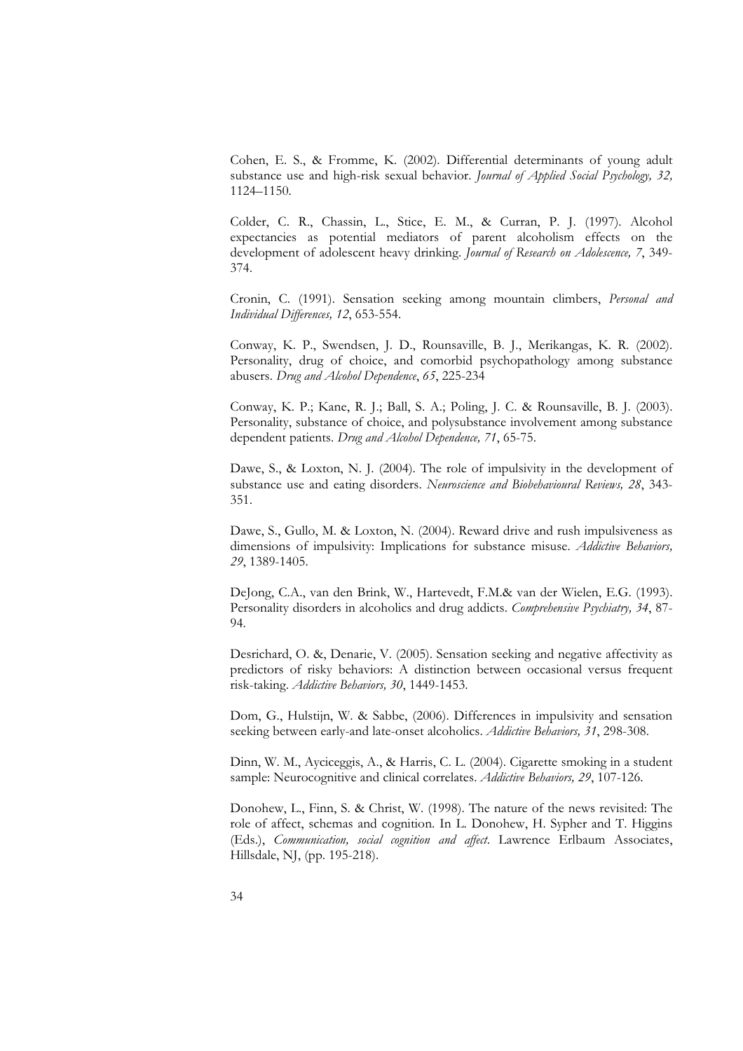Cohen, E. S., & Fromme, K. (2002). Differential determinants of young adult substance use and high-risk sexual behavior. *Journal of Applied Social Psychology, 32,* 1124–1150.

Colder, C. R., Chassin, L., Stice, E. M., & Curran, P. J. (1997). Alcohol expectancies as potential mediators of parent alcoholism effects on the development of adolescent heavy drinking. *Journal of Research on Adolescence, 7*, 349- 374.

Cronin, C. (1991). Sensation seeking among mountain climbers, *Personal and Individual Differences, 12*, 653-554.

Conway, K. P., Swendsen, J. D., Rounsaville, B. J., Merikangas, K. R. (2002).<br>Personality, drug of choice, and comorbid psychopathology among substance<br>abusers. *Drug and Alcobol Dependence*, 65, 225-234<br>Conway, K. P.; Kan

Personality, substance of choice, and polysubstance involvement among substance dependent patients. *Drug and Alcohol Dependence, 71*, 65-75.

Dawe, S., & Loxton, N. J. (2004). The role of impulsivity in the development of substance use and eating disorders. *Neuroscience and Biobehavioural Reviews, 28*, 343- 351.

Dawe, S., Gullo, M. & Loxton, N. (2004). Reward drive and rush impulsiveness as dimensions of impulsivity: Implications for substance misuse. *Addictive Behaviors, 29*, 1389-1405.

DeJong, C.A., van den Brink, W., Hartevedt, F.M.& van der Wielen, E.G. (1993). Personality disorders in alcoholics and drug addicts. *Comprehensive Psychiatry, 34*, 87- 94.

Desrichard, O. &, Denarie, V. (2005). Sensation seeking and negative affectivity as predictors of risky behaviors: A distinction between occasional versus frequent risk-taking. *Addictive Behaviors, 30*, 1449-1453.

Dom, G., Hulstijn, W. & Sabbe, (2006). Differences in impulsivity and sensation seeking between early-and late-onset alcoholics. *Addictive Behaviors, 31*, 298-308.

Dinn, W. M., Ayciceggis, A., & Harris, C. L. (2004). Cigarette smoking in a student sample: Neurocognitive and clinical correlates. *Addictive Behaviors, 29*, 107-126.

Donohew, L., Finn, S. & Christ, W. (1998). The nature of the news revisited: The role of affect, schemas and cognition. In L. Donohew, H. Sypher and T. Higgins (Eds.), *Communication, social cognition and affect*. Lawrence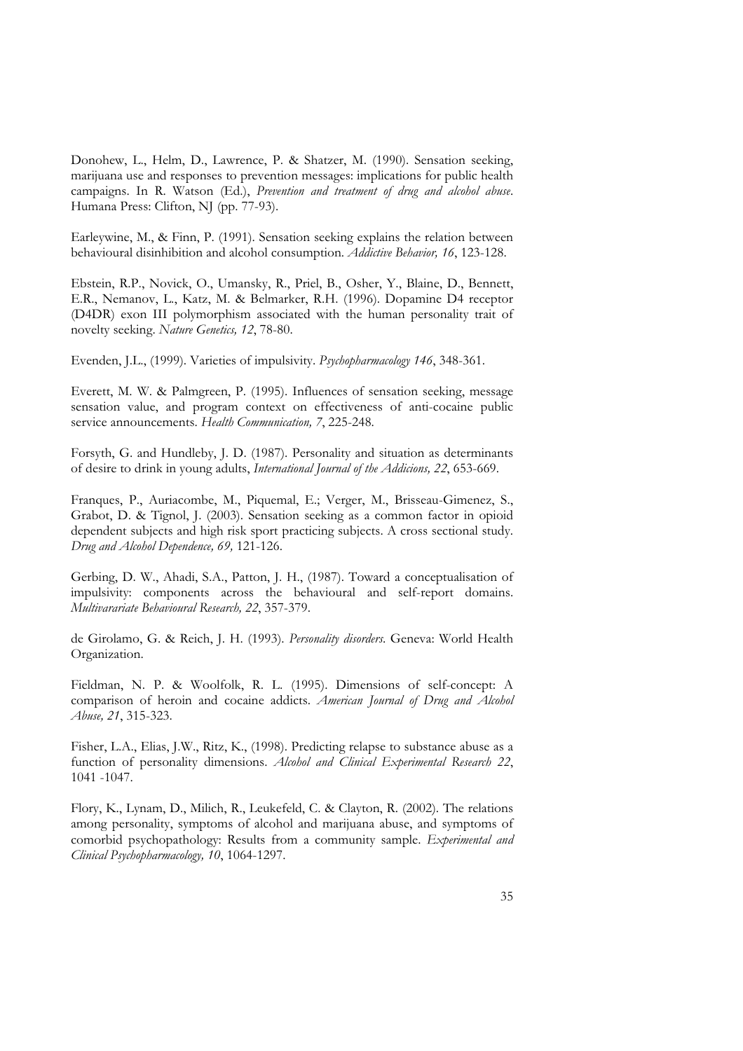Donohew, L., Helm, D., Lawrence, P. & Shatzer, M. (1990). Sensation seeking, marijuana use and responses to prevention messages: implications for public health<br>campaigns. In R. Watson (Ed.), *Prevention and treatment of drug and alcohol abuse*.<br>Humana Press: Clifton, NJ (pp. 77-93).<br>Earleywine, M.,

Ebstein, R.P., Novick, O., Umansky, R., Priel, B., Osher, Y., Blaine, D., Bennett, E.R., Nemanov, L., Katz, M. & Belmarker, R.H. (1996). Dopamine D4 receptor (D4DR) exon III polymorphism associated with the human personality trait of novelty seeking. *Nature Genetics, 12*, 78-80.

Evenden, J.L., (1999). Varieties of impulsivity. *Psychopharmacology 146*, 348-361.

Everett, M. W. & Palmgreen, P. (1995). Influences of sensation seeking, message sensation value, and program context on effectiveness of anti-cocaine public service announcements. *Health Communication, 7*, 225-248.

Forsyth, G. and Hundleby, J. D. (1987). Personality and situation as determinants of desire to drink in young adults, *International Journal of the Addicions, 22*, 653-669.

Franques, P., Auriacombe, M., Piquemal, E.; Verger, M., Brisseau-Gimenez, S., Grabot, D. & Tignol, J. (2003). Sensation seeking as a common factor in opioid dependent subjects and high risk sport practicing subjects. A cross sectional study. *Drug and Alcohol Dependence, 69,* 121-126.

Gerbing, D. W., Ahadi, S.A., Patton, J. H., (1987). Toward a conceptualisation of impulsivity: components across the behavioural and self-report domains. *Multivarariate Behavioural Research, 22*, 357-379.

de Girolamo, G. & Reich, J. H. (1993). *Personality disorders*. Geneva: World Health Organization.

Fieldman, N. P. & Woolfolk, R. L. (1995). Dimensions of self-concept: A comparison of heroin and cocaine addicts. *American Journal of Drug and Alcohol Abuse, 21*, 315-323.

Fisher, L.A., Elias, J.W., Ritz, K., (1998). Predicting relapse to substance abuse as a function of personality dimensions. *Alcohol and Clinical Experimental Research 22*, 1041 -1047.

Flory, K., Lynam, D., Milich, R., Leukefeld, C. & Clayton, R. (2002). The relations among personality, symptoms of alcohol and marijuana abuse, and symptoms of comorbid psychopathology: Results from a community sample. *Experimental and Clinical Psychopharmacology, 10*, 1064-1297.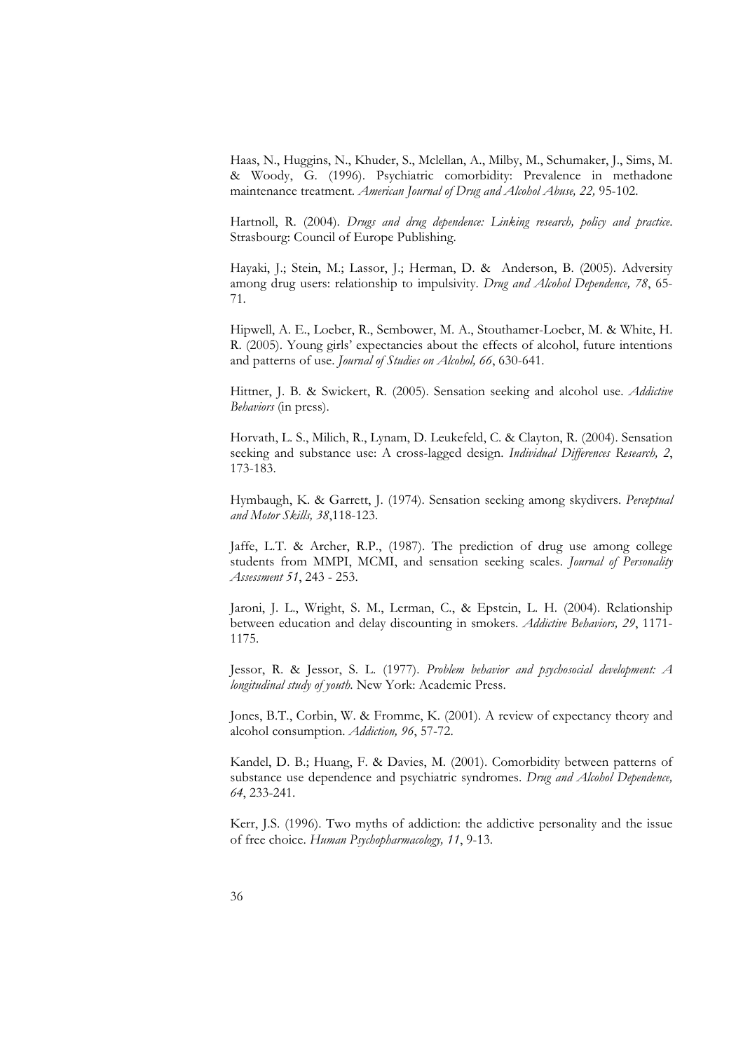Haas, N., Huggins, N., Khuder, S., Mclellan, A., Milby, M., Schumaker, J., Sims, M. & Woody, G. (1996). Psychiatric comorbidity: Prevalence in methadone maintenance treatment. *American Journal of Drug and Alcohol Abuse, 22,* 95-102.

Hartnoll, R. (2004). *Drugs and drug dependence: Linking research, policy and practice*. Strasbourg: Council of Europe Publishing.

Hayaki, J.; Stein, M.; Lassor, J.; Herman, D. & Anderson, B. (2005). Adversity among drug users: relationship to impulsivity. *Drug and Alcohol Dependence, 78*, 65- 71.

Hipwell, A. E., Loeber, R., Sembower, M. A., Stouthamer-Loeber, M. & White, H. R. (2005). Young girls' expectancies about the effects of alcohol, future intentions and patterns of use. *Journal of Studies on Alcohol, 66*, 630-641.

Hittner, J. B. & Swickert, R. (2005). Sensation seeking and alcohol use. *Addictive Behaviors* (in press).

Horvath, L. S., Milich, R., Lynam, D. Leukefeld, C. & Clayton, R. (2004). Sensation seeking and substance use: A cross-lagged design. *Individual Differences Research, 2*, 173-183.

Hymbaugh, K. & Garrett, J. (1974). Sensation seeking among skydivers. *Perceptual and Motor Skills, 38*,118-123.

Jaffe, L.T. & Archer, R.P., (1987). The prediction of drug use among college students from MMPI, MCMI, and sensation seeking scales. *Journal of Personality Assessment 51*, 243 - 253.

Jaroni, J. L., Wright, S. M., Lerman, C., & Epstein, L. H. (2004). Relationship between education and delay discounting in smokers. *Addictive Behaviors, 29*, 1171- 1175.

Jessor, R. & Jessor, S. L. (1977). *Problem behavior and psychosocial development: A longitudinal study of youth*. New York: Academic Press.

Jones, B.T., Corbin, W. & Fromme, K. (2001). A review of expectancy theory and alcohol consumption. *Addiction, 96*, 57-72.

Kandel, D. B.; Huang, F. & Davies, M. (2001). Comorbidity between patterns of substance use dependence and psychiatric syndromes. *Drug and Alcohol Dependence, 64*, 233-241.

Kerr, J.S. (1996). Two myths of addiction: the addictive personality and the issue of free choice. *Human Psychopharmacology, 11*, 9-13.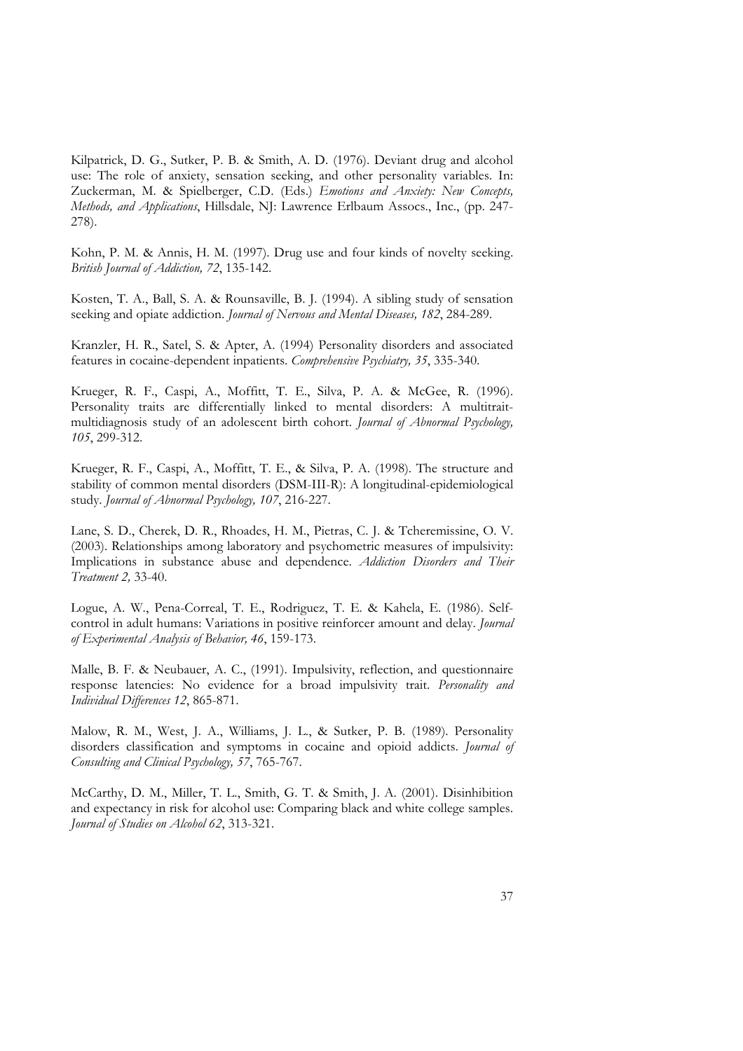Kilpatrick, D. G., Sutker, P. B. & Smith, A. D. (1976). Deviant drug and alcohol use: The role of anxiety, sensation seeking, and other personality variables. In:<br>Zuckerman, M. & Spielberger, C.D. (Eds.) *Emotions and Anxiety: New Concepts,*<br>*Methods, and Applications*, Hillsdale, NJ: Lawrence Erlbaum 278).

Kohn, P. M. & Annis, H. M. (1997). Drug use and four kinds of novelty seeking. *British Journal of Addiction, 72*, 135-142.

Kosten, T. A., Ball, S. A. & Rounsaville, B. J. (1994). A sibling study of sensation seeking and opiate addiction. *Journal of Nervous and Mental Diseases, 182*, 284-289.

Kranzler, H. R., Satel, S. & Apter, A. (1994) Personality disorders and associated features in cocaine-dependent inpatients. *Comprehensive Psychiatry, 35*, 335-340.

Krueger, R. F., Caspi, A., Moffitt, T. E., Silva, P. A. & McGee, R. (1996). Personality traits are differentially linked to mental disorders: A multitrait multidiagnosis study of an adolescent birth cohort. *Journal of Abnormal Psychology, 105*, 299-312.

Krueger, R. F., Caspi, A., Moffitt, T. E., & Silva, P. A. (1998). The structure and stability of common mental disorders (DSM-III-R): A longitudinal-epidemiological study. *Journal of Abnormal Psychology, 107*, 216-227.

Lane, S. D., Cherek, D. R., Rhoades, H. M., Pietras, C. J. & Tcheremissine, O. V. (2003). Relationships among laboratory and psychometric measures of impulsivity: Implications in substance abuse and dependence. *Addiction* 

Logue, A. W., Pena-Correal, T. E., Rodriguez, T. E. & Kahela, E. (1986). Self control in adult humans: Variations in positive reinforcer amount and delay. *Journal of Experimental Analysis of Behavior, 46, 159-173.*<br>Malle, B. F. & Neubauer, A. C., (1991). Impulsivity, reflection, and questionnaire

response latencies: No evidence for a broad impulsivity trait. *Personality and Individual Differences 12*, 865-871.

Malow, R. M., West, J. A., Williams, J. L., & Sutker, P. B. (1989). Personality disorders classification and symptoms in cocaine and opioid addicts. *Journal of Consulting and Clinical Psychology, 57*, 765-767.

McCarthy, D. M., Miller, T. L., Smith, G. T. & Smith, J. A. (2001). Disinhibition and expectancy in risk for alcohol use: Comparing black and white college samples. *Journal of Studies on Alcohol 62*, 313-321.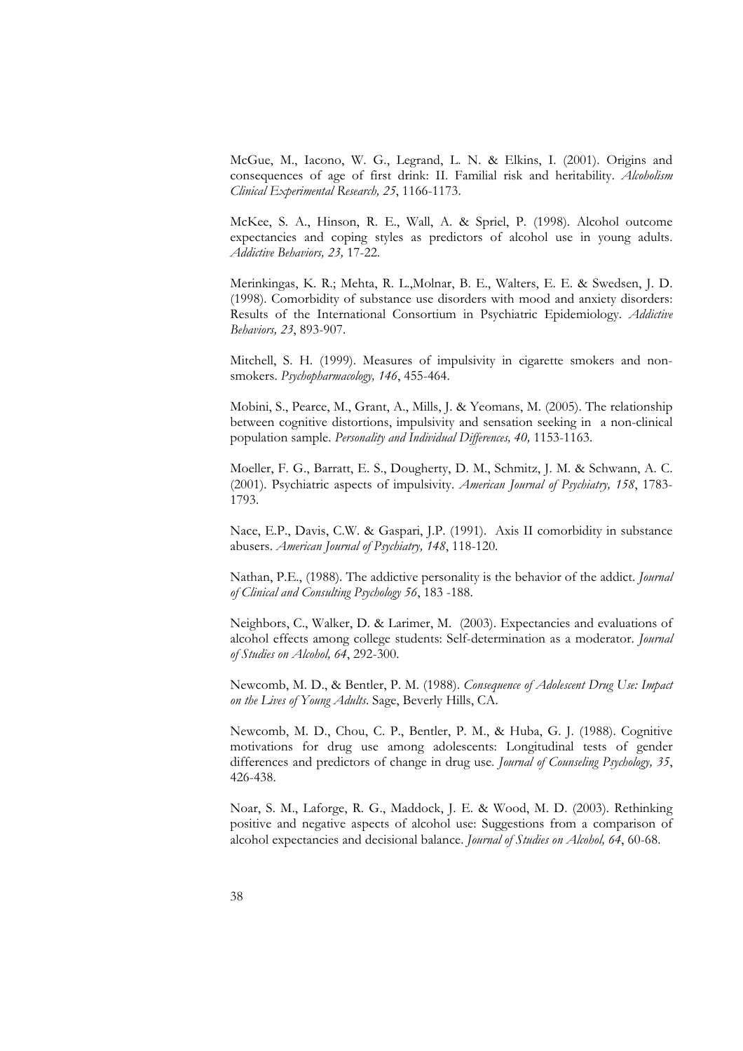McGue, M., Iacono, W. G., Legrand, L. N. & Elkins, I. (2001). Origins and consequences of age of first drink: II. Familial risk and heritability. *Alcoholism Clinical Experimental Research, 25*, 1166-1173.

McKee, S. A., Hinson, R. E., Wall, A. & Spriel, P. (1998). Alcohol outcome expectancies and coping styles as predictors of alcohol use in young adults. *Addictive Behaviors, 23,* 17-22.

Merinkingas, K. R.; Mehta, R. L.,Molnar, B. E., Walters, E. E. & Swedsen, J. D. (1998). Comorbidity of substance use disorders with mood and anxiety disorders: Results of the International Consortium in Psychiatric Epidemiology. *Addictive Behaviors, 23*, 893-907.

Mitchell, S. H. (1999). Measures of impulsivity in cigarette smokers and non smokers. *Psychopharmacology, 146*, 455-464.

Mobini, S., Pearce, M., Grant, A., Mills, J. & Yeomans, M. (2005). The relationship between cognitive distortions, impulsivity and sensation seeking in a non-clinical population sample. *Personality and Individual Differences, 40,* 1153-1163.

Moeller, F. G., Barratt, E. S., Dougherty, D. M., Schmitz, J. M. & Schwann, A. C. (2001). Psychiatric aspects of impulsivity. *American Journal of Psychiatry, 158*, 1783- 1793.

Nace, E.P., Davis, C.W. & Gaspari, J.P. (1991). Axis II comorbidity in substance abusers. *American Journal of Psychiatry, 148*, 118-120.

Nathan, P.E., (1988). The addictive personality is the behavior of the addict. *Journal of Clinical and Consulting Psychology 56*, 183 -188.

Neighbors, C., Walker, D. & Larimer, M. (2003). Expectancies and evaluations of alcohol effects among college students: Self-determination as a moderator. *Journal of Studies on Alcohol, 64*, 292-300.

Newcomb, M. D., & Bentler, P. M. (1988). *Consequence of Adolescent Drug Use: Impact on the Lives of Young Adults*. Sage, Beverly Hills, CA.

Newcomb, M. D., Chou, C. P., Bentler, P. M., & Huba, G. J. (1988). Cognitive motivations for drug use among adolescents: Longitudinal tests of gender differences and predictors of change in drug use. *Journal of Counseling* 

Noar, S. M., Laforge, R. G., Maddock, J. E. & Wood, M. D. (2003). Rethinking positive and negative aspects of alcohol use: Suggestions from a comparison of alcohol expectancies and decisional balance. *Journal of Studies on Alcohol, 64*, 60-68.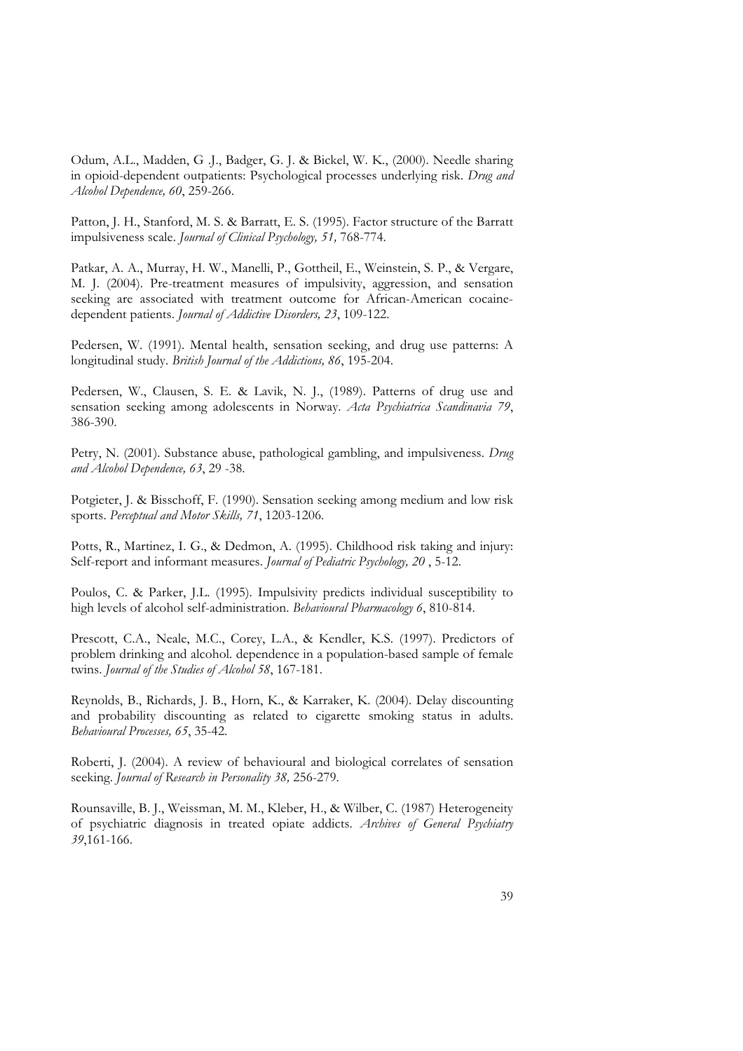Odum, A.L., Madden, G .J., Badger, G. J. & Bickel, W. K., (2000). Needle sharing in opioid-dependent outpatients: Psychological processes underlying risk. *Drug and Alcohol Dependence, 60*, 259-266.

Patton, J. H., Stanford, M. S. & Barratt, E. S. (1995). Factor structure of the Barratt impulsiveness scale. *Journal of Clinical Psychology, 51,* 768-774.

Patkar, A. A., Murray, H. W., Manelli, P., Gottheil, E., Weinstein, S. P., & Vergare, M. J. (2004). Pre-treatment measures of impulsivity, aggression, and sensation seeking are associated with treatment outcome for African-American cocainedependent patients. *Journal of Addictive Disorders, 23*, 109-122.

Pedersen, W. (1991). Mental health, sensation seeking, and drug use patterns: A longitudinal study. *British Journal of the Addictions, 86*, 195-204.

Pedersen, W., Clausen, S. E. & Lavik, N. J., (1989). Patterns of drug use and sensation seeking among adolescents in Norway. *Acta Psychiatrica Scandinavia 79*, 386-390.

Petry, N. (2001). Substance abuse, pathological gambling, and impulsiveness. *Drug and Alcohol Dependence, 63*, 29 -38.

Potgieter, J. & Bisschoff, F. (1990). Sensation seeking among medium and low risk sports. *Perceptual and Motor Skills, 71*, 1203-1206.

Potts, R., Martinez, I. G., & Dedmon, A. (1995). Childhood risk taking and injury: Self-report and informant measures. *Journal of Pediatric Psychology, 20* , 5-12.

Poulos, C. & Parker, J.L. (1995). Impulsivity predicts individual susceptibility to high levels of alcohol self-administration. *Behavioural Pharmacology 6*, 810-814.

Prescott, C.A., Neale, M.C., Corey, L.A., & Kendler, K.S. (1997). Predictors of problem drinking and alcohol. dependence in a population-based sample of female twins. *Journal of the Studies of Alcohol 58*, 167-181.

Reynolds, B., Richards, J. B., Horn, K., & Karraker, K. (2004). Delay discounting and probability discounting as related to cigarette smoking status in adults.

*Behavioural Processes, 65*, 35-42. Roberti, J. (2004). A review of behavioural and biological correlates of sensation seeking. *Journal of Research in Personality 38,* 256-279.

Rounsaville, B. J., Weissman, M. M., Kleber, H., & Wilber, C. (1987) Heterogeneity of psychiatric diagnosis in treated opiate addicts. *Archives of General Psychiatry 39*,161-166.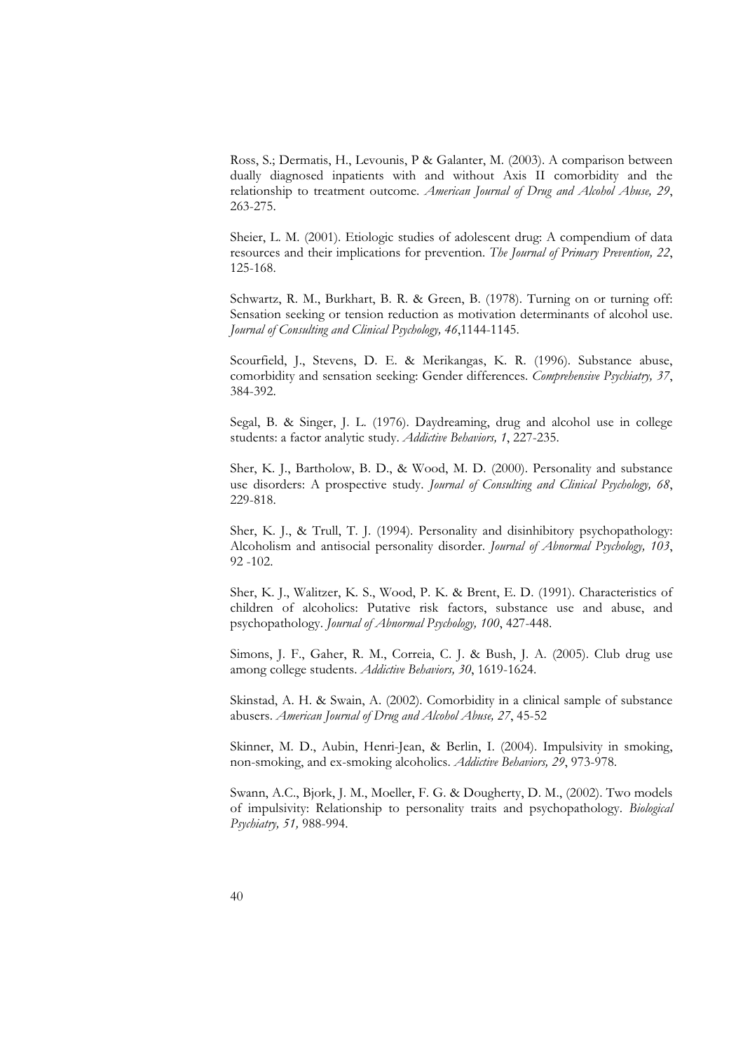Ross, S.; Dermatis, H., Levounis, P & Galanter, M. (2003). A comparison between dually diagnosed inpatients with and without Axis II comorbidity and the relationship to treatment outcome. *American Journal of Drug and Alco* 

Sheier, L. M. (2001). Etiologic studies of adolescent drug: A compendium of data resources and their implications for prevention. *The Journal of Primary Prevention, 22*, 125-168.

Schwartz, R. M., Burkhart, B. R. & Green, B. (1978). Turning on or turning off: Sensation seeking or tension reduction as motivation determinants of alcohol use. *Journal of Consulting and Clinical Psychology, 46*,1144-1145.

Scourfield, J., Stevens, D. E. & Merikangas, K. R. (1996). Substance abuse, comorbidity and sensation seeking: Gender differences. *Comprehensive Psychiatry, 37*, 384-392.

Segal, B. & Singer, J. L. (1976). Daydreaming, drug and alcohol use in college students: a factor analytic study. *Addictive Behaviors, 1*, 227-235.

Sher, K. J., Bartholow, B. D., & Wood, M. D. (2000). Personality and substance use disorders: A prospective study. *Journal of Consulting and Clinical Psychology, 68*, 229-818.

Sher, K. J., & Trull, T. J. (1994). Personality and disinhibitory psychopathology: Alcoholism and antisocial personality disorder. *Journal of Abnormal Psychology, 103*, 92 -102.

Sher, K. J., Walitzer, K. S., Wood, P. K. & Brent, E. D. (1991). Characteristics of children of alcoholics: Putative risk factors, substance use and abuse, and psychopathology. *Journal of Abnormal Psychology, 100*, 427-448.

Simons, J. F., Gaher, R. M., Correia, C. J. & Bush, J. A. (2005). Club drug use among college students. *Addictive Behaviors, 30*, 1619-1624.

Skinstad, A. H. & Swain, A. (2002). Comorbidity in a clinical sample of substance abusers. *American Journal of Drug and Alcohol Abuse, 27*, 45-52

Skinner, M. D., Aubin, Henri-Jean, & Berlin, I. (2004). Impulsivity in smoking, non-smoking, and ex-smoking alcoholics. *Addictive Behaviors, 29*, 973-978.

Swann, A.C., Bjork, J. M., Moeller, F. G. & Dougherty, D. M., (2002). Two models of impulsivity: Relationship to personality traits and psychopathology. *Biological Psychiatry, 51,* 988-994.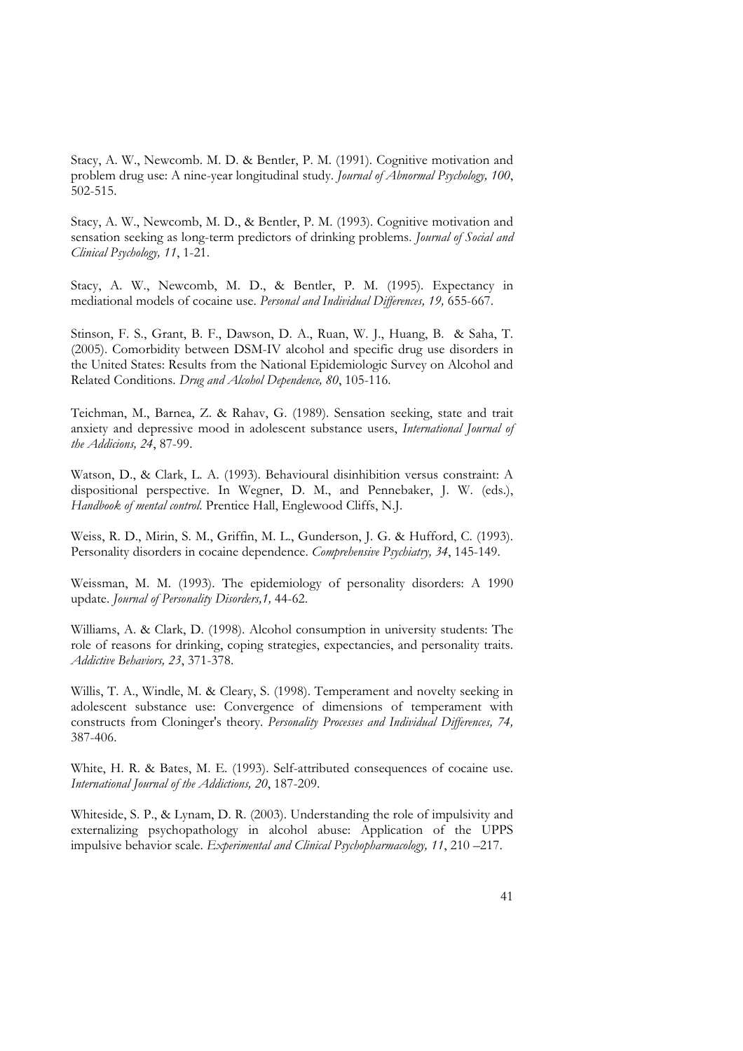Stacy, A. W., Newcomb. M. D. & Bentler, P. M. (1991). Cognitive motivation and problem drug use: A nine-year longitudinal study. *Journal of Abnormal Psychology, 100*, 502-515.

Stacy, A. W., Newcomb, M. D., & Bentler, P. M. (1993). Cognitive motivation and sensation seeking as long-term predictors of drinking problems. *Journal of Social and Clinical Psychology, 11*, 1-21.

Stacy, A. W., Newcomb, M. D., & Bentler, P. M. (1995). Expectancy in mediational models of cocaine use. *Personal and Individual Differences, 19,* 655-667.

Stinson, F. S., Grant, B. F., Dawson, D. A., Ruan, W. J., Huang, B. & Saha, T. (2005). Comorbidity between DSM-IV alcohol and specific drug use disorders in the United States: Results from the National Epidemiologic Survey on Alcohol and Related Conditions. *Drug and Alcohol Dependence, 80*, 105-116.

Teichman, M., Barnea, Z. & Rahav, G. (1989). Sensation seeking, state and trait anxiety and depressive mood in adolescent substance users, *International Journal of the Addicions, <sup>24</sup>*, 87-99.

Watson, D., & Clark, L. A. (1993). Behavioural disinhibition versus constraint: A dispositional perspective. In Wegner, D. M., and Pennebaker, J. W. (eds.), *Handbook of mental control*. Prentice Hall, Englewood Cliffs, N.J.

Weiss, R. D., Mirin, S. M., Griffin, M. L., Gunderson, J. G. & Hufford, C. (1993). Personality disorders in cocaine dependence. *Comprehensive Psychiatry, 34*, 145-149.

Weissman, M. M. (1993). The epidemiology of personality disorders: A 1990 update. *Journal of Personality Disorders,1,* 44-62.

Williams, A. & Clark, D. (1998). Alcohol consumption in university students: The role of reasons for drinking, coping strategies, expectancies, and personality traits. *Addictive Behaviors, 23*, 371-378.

Willis, T. A., Windle, M. & Cleary, S. (1998). Temperament and novelty seeking in adolescent substance use: Convergence of dimensions of temperament with constructs from Cloninger's theory. *Personality Processes and Indiv* 387-406.

White, H. R. & Bates, M. E. (1993). Self-attributed consequences of cocaine use. *International Journal of the Addictions, 20*, 187-209.

Whiteside, S. P., & Lynam, D. R. (2003). Understanding the role of impulsivity and externalizing psychopathology in alcohol abuse: Application of the UPPS impulsive behavior scale. *Experimental and Clinical Psychopharmaco*